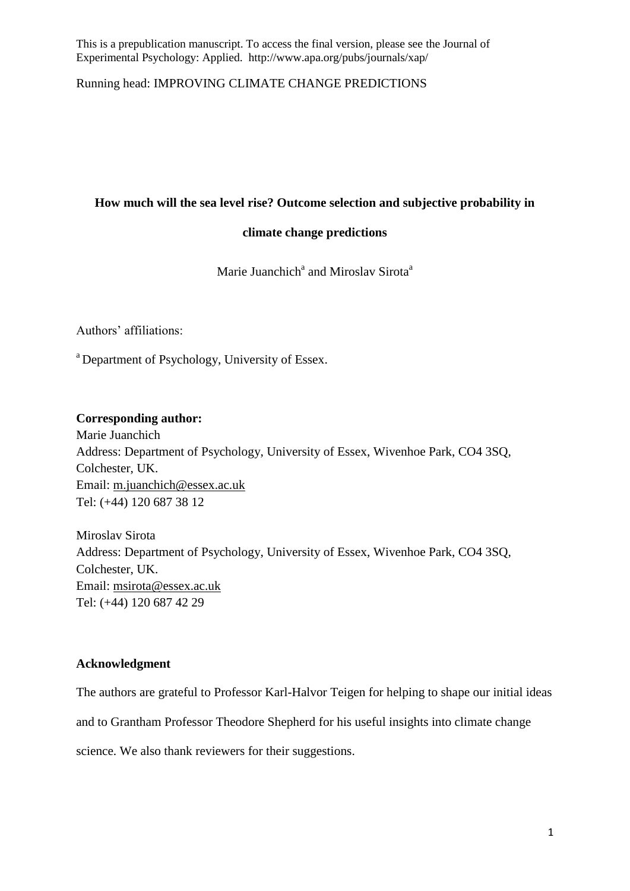Running head: IMPROVING CLIMATE CHANGE PREDICTIONS

# **How much will the sea level rise? Outcome selection and subjective probability in**

# **climate change predictions**

Marie Juanchich<sup>a</sup> and Miroslav Sirota<sup>a</sup>

Authors' affiliations:

<sup>a</sup> Department of Psychology, University of Essex.

# **Corresponding author:**

Marie Juanchich Address: Department of Psychology, University of Essex, Wivenhoe Park, CO4 3SQ, Colchester, UK. Email: [m.juanchich@essex.ac.uk](mailto:m.juanchich@essex.ac.uk)  Tel: (+44) 120 687 38 12

Miroslav Sirota Address: Department of Psychology, University of Essex, Wivenhoe Park, CO4 3SQ, Colchester, UK. Email: [msirota@essex.ac.uk](mailto:Msirota@essex.ac.uk) Tel: (+44) 120 687 42 29

# **Acknowledgment**

The authors are grateful to Professor Karl-Halvor Teigen for helping to shape our initial ideas

and to Grantham Professor Theodore Shepherd for his useful insights into climate change

science. We also thank reviewers for their suggestions.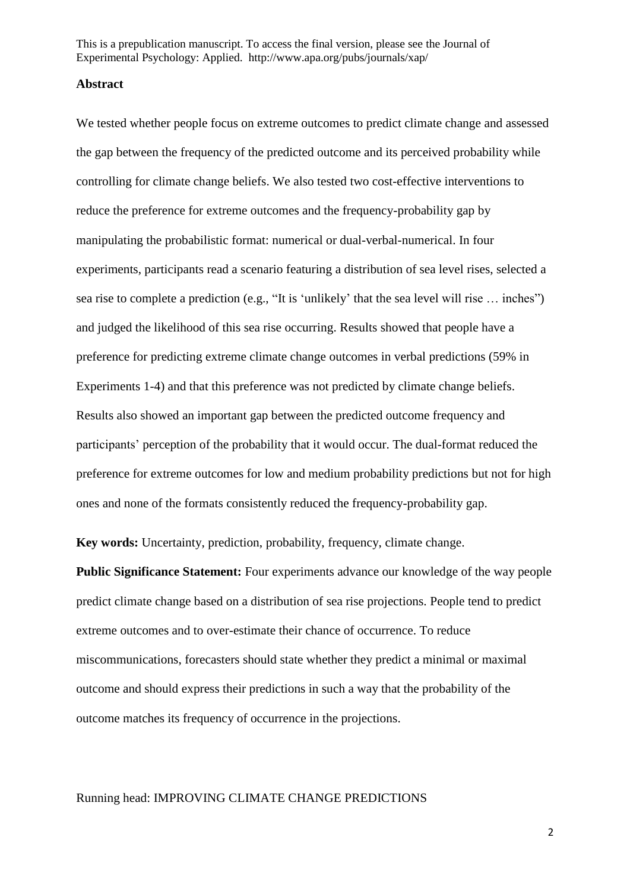#### **Abstract**

We tested whether people focus on extreme outcomes to predict climate change and assessed the gap between the frequency of the predicted outcome and its perceived probability while controlling for climate change beliefs. We also tested two cost-effective interventions to reduce the preference for extreme outcomes and the frequency-probability gap by manipulating the probabilistic format: numerical or dual-verbal-numerical. In four experiments, participants read a scenario featuring a distribution of sea level rises, selected a sea rise to complete a prediction (e.g., "It is 'unlikely' that the sea level will rise … inches") and judged the likelihood of this sea rise occurring. Results showed that people have a preference for predicting extreme climate change outcomes in verbal predictions (59% in Experiments 1-4) and that this preference was not predicted by climate change beliefs. Results also showed an important gap between the predicted outcome frequency and participants' perception of the probability that it would occur. The dual-format reduced the preference for extreme outcomes for low and medium probability predictions but not for high ones and none of the formats consistently reduced the frequency-probability gap.

**Key words:** Uncertainty, prediction, probability, frequency, climate change.

**Public Significance Statement:** Four experiments advance our knowledge of the way people predict climate change based on a distribution of sea rise projections. People tend to predict extreme outcomes and to over-estimate their chance of occurrence. To reduce miscommunications, forecasters should state whether they predict a minimal or maximal outcome and should express their predictions in such a way that the probability of the outcome matches its frequency of occurrence in the projections.

## Running head: IMPROVING CLIMATE CHANGE PREDICTIONS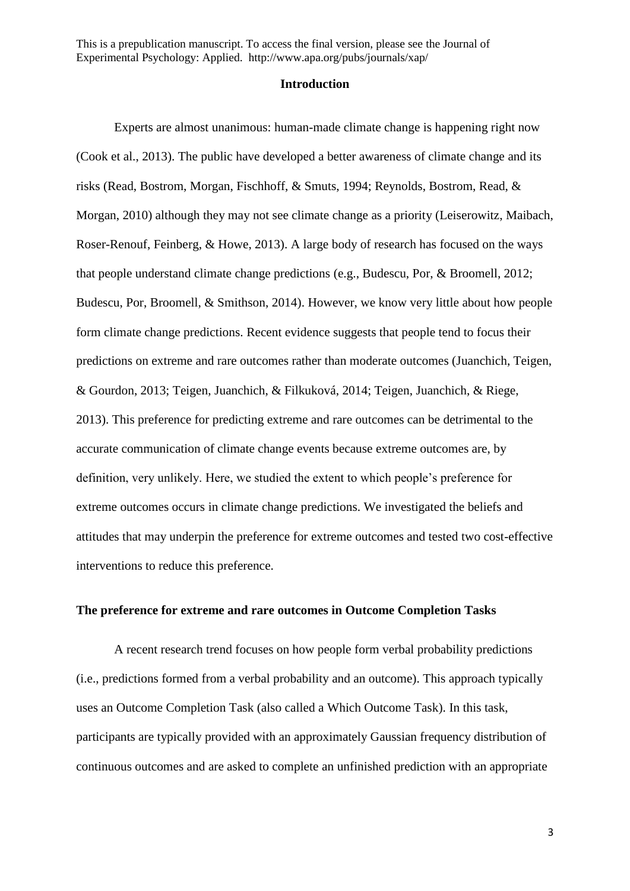### **Introduction**

Experts are almost unanimous: human-made climate change is happening right now (Cook et al., 2013). The public have developed a better awareness of climate change and its risks (Read, Bostrom, Morgan, Fischhoff, & Smuts, 1994; Reynolds, Bostrom, Read, & Morgan, 2010) although they may not see climate change as a priority (Leiserowitz, Maibach, Roser-Renouf, Feinberg, & Howe, 2013). A large body of research has focused on the ways that people understand climate change predictions (e.g., Budescu, Por, & Broomell, 2012; Budescu, Por, Broomell, & Smithson, 2014). However, we know very little about how people form climate change predictions. Recent evidence suggests that people tend to focus their predictions on extreme and rare outcomes rather than moderate outcomes (Juanchich, Teigen, & Gourdon, 2013; Teigen, Juanchich, & Filkuková, 2014; Teigen, Juanchich, & Riege, 2013). This preference for predicting extreme and rare outcomes can be detrimental to the accurate communication of climate change events because extreme outcomes are, by definition, very unlikely. Here, we studied the extent to which people's preference for extreme outcomes occurs in climate change predictions. We investigated the beliefs and attitudes that may underpin the preference for extreme outcomes and tested two cost-effective interventions to reduce this preference.

# **The preference for extreme and rare outcomes in Outcome Completion Tasks**

A recent research trend focuses on how people form verbal probability predictions (i.e., predictions formed from a verbal probability and an outcome). This approach typically uses an Outcome Completion Task (also called a Which Outcome Task). In this task, participants are typically provided with an approximately Gaussian frequency distribution of continuous outcomes and are asked to complete an unfinished prediction with an appropriate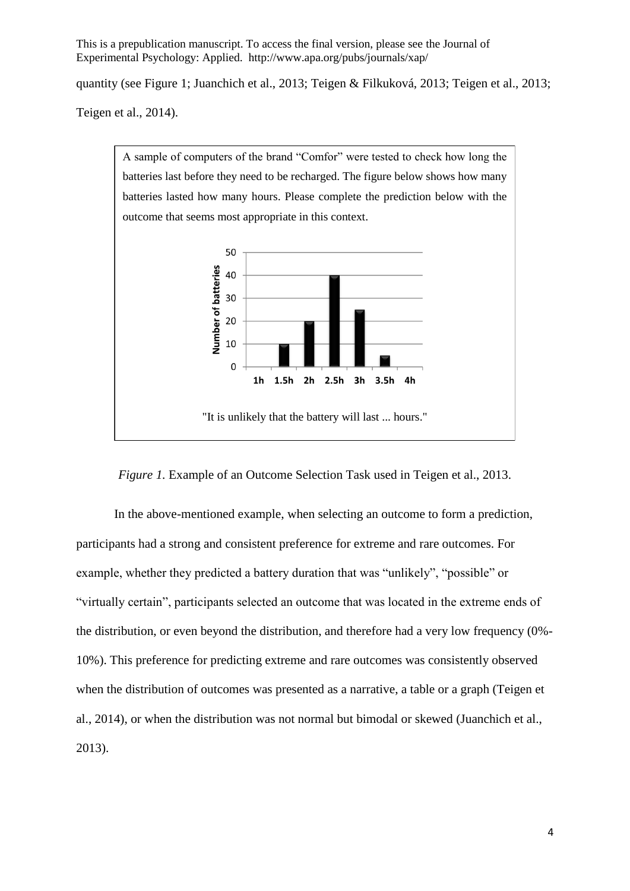quantity (see Figure 1; Juanchich et al., 2013; Teigen & Filkuková, 2013; Teigen et al., 2013;

Teigen et al., 2014).



*Figure 1.* Example of an Outcome Selection Task used in Teigen et al., 2013.

In the above-mentioned example, when selecting an outcome to form a prediction, participants had a strong and consistent preference for extreme and rare outcomes. For example, whether they predicted a battery duration that was "unlikely", "possible" or "virtually certain", participants selected an outcome that was located in the extreme ends of the distribution, or even beyond the distribution, and therefore had a very low frequency (0%- 10%). This preference for predicting extreme and rare outcomes was consistently observed when the distribution of outcomes was presented as a narrative, a table or a graph (Teigen et al., 2014), or when the distribution was not normal but bimodal or skewed (Juanchich et al., 2013).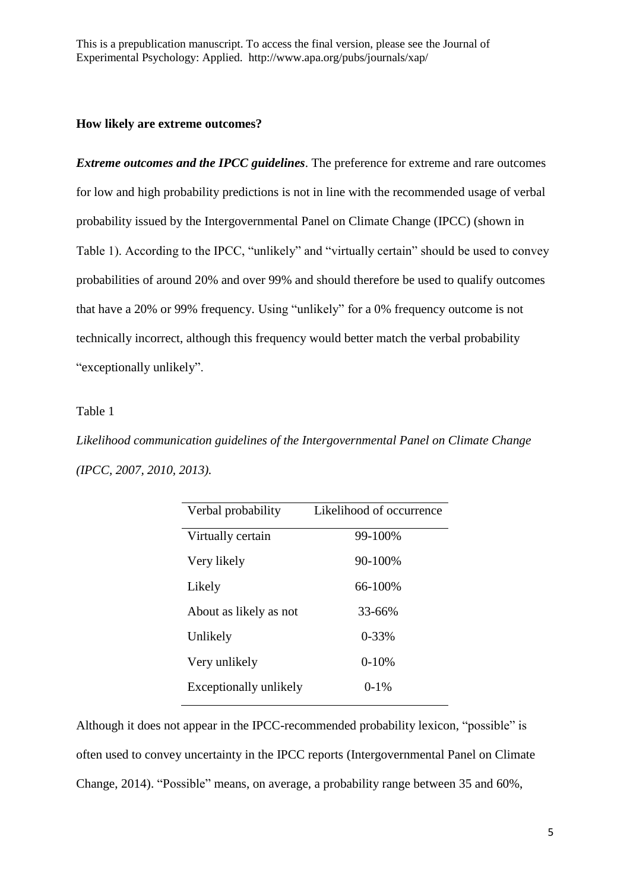# **How likely are extreme outcomes?**

*Extreme outcomes and the IPCC guidelines*. The preference for extreme and rare outcomes for low and high probability predictions is not in line with the recommended usage of verbal probability issued by the Intergovernmental Panel on Climate Change (IPCC) (shown in Table 1). According to the IPCC, "unlikely" and "virtually certain" should be used to convey probabilities of around 20% and over 99% and should therefore be used to qualify outcomes that have a 20% or 99% frequency. Using "unlikely" for a 0% frequency outcome is not technically incorrect, although this frequency would better match the verbal probability "exceptionally unlikely".

# Table 1

*Likelihood communication guidelines of the Intergovernmental Panel on Climate Change (IPCC, 2007, 2010, 2013).*

| Verbal probability            | Likelihood of occurrence |
|-------------------------------|--------------------------|
| Virtually certain             | 99-100%                  |
| Very likely                   | 90-100%                  |
| Likely                        | 66-100%                  |
| About as likely as not        | $33 - 66%$               |
| Unlikely                      | $0 - 33%$                |
| Very unlikely                 | $0-10%$                  |
| <b>Exceptionally unlikely</b> | $0 - 1\%$                |

Although it does not appear in the IPCC-recommended probability lexicon, "possible" is often used to convey uncertainty in the IPCC reports (Intergovernmental Panel on Climate Change, 2014). "Possible" means, on average, a probability range between 35 and 60%,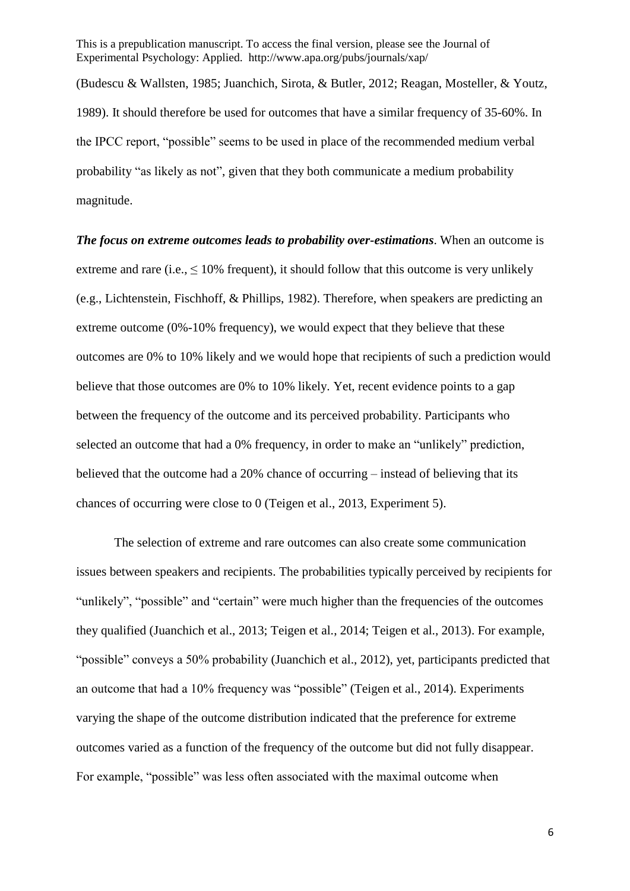(Budescu & Wallsten, 1985; Juanchich, Sirota, & Butler, 2012; Reagan, Mosteller, & Youtz, 1989). It should therefore be used for outcomes that have a similar frequency of 35-60%. In the IPCC report, "possible" seems to be used in place of the recommended medium verbal probability "as likely as not", given that they both communicate a medium probability magnitude.

*The focus on extreme outcomes leads to probability over-estimations*. When an outcome is extreme and rare (i.e.,  $\leq 10\%$  frequent), it should follow that this outcome is very unlikely (e.g., Lichtenstein, Fischhoff, & Phillips, 1982). Therefore, when speakers are predicting an extreme outcome (0%-10% frequency), we would expect that they believe that these outcomes are 0% to 10% likely and we would hope that recipients of such a prediction would believe that those outcomes are 0% to 10% likely. Yet, recent evidence points to a gap between the frequency of the outcome and its perceived probability. Participants who selected an outcome that had a 0% frequency, in order to make an "unlikely" prediction, believed that the outcome had a 20% chance of occurring – instead of believing that its chances of occurring were close to 0 (Teigen et al., 2013, Experiment 5).

The selection of extreme and rare outcomes can also create some communication issues between speakers and recipients. The probabilities typically perceived by recipients for "unlikely", "possible" and "certain" were much higher than the frequencies of the outcomes they qualified (Juanchich et al., 2013; Teigen et al., 2014; Teigen et al., 2013). For example, "possible" conveys a 50% probability (Juanchich et al., 2012), yet, participants predicted that an outcome that had a 10% frequency was "possible" (Teigen et al., 2014). Experiments varying the shape of the outcome distribution indicated that the preference for extreme outcomes varied as a function of the frequency of the outcome but did not fully disappear. For example, "possible" was less often associated with the maximal outcome when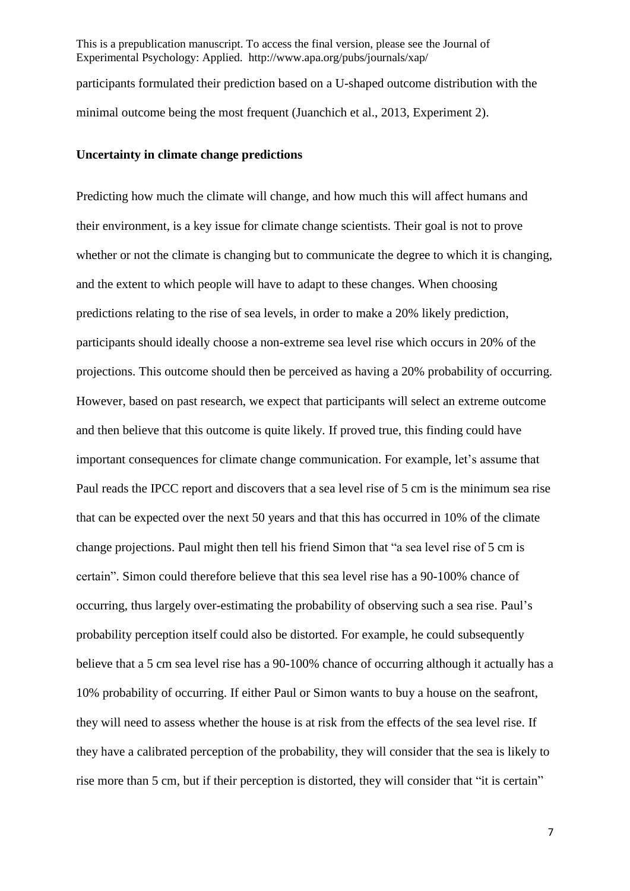This is a prepublication manuscript. To access the final version, please see the Journal of Experimental Psychology: Applied. http://www.apa.org/pubs/journals/xap/ participants formulated their prediction based on a U-shaped outcome distribution with the minimal outcome being the most frequent (Juanchich et al., 2013, Experiment 2).

### **Uncertainty in climate change predictions**

Predicting how much the climate will change, and how much this will affect humans and their environment, is a key issue for climate change scientists. Their goal is not to prove whether or not the climate is changing but to communicate the degree to which it is changing, and the extent to which people will have to adapt to these changes. When choosing predictions relating to the rise of sea levels, in order to make a 20% likely prediction, participants should ideally choose a non-extreme sea level rise which occurs in 20% of the projections. This outcome should then be perceived as having a 20% probability of occurring. However, based on past research, we expect that participants will select an extreme outcome and then believe that this outcome is quite likely. If proved true, this finding could have important consequences for climate change communication. For example, let's assume that Paul reads the IPCC report and discovers that a sea level rise of 5 cm is the minimum sea rise that can be expected over the next 50 years and that this has occurred in 10% of the climate change projections. Paul might then tell his friend Simon that "a sea level rise of 5 cm is certain". Simon could therefore believe that this sea level rise has a 90-100% chance of occurring, thus largely over-estimating the probability of observing such a sea rise. Paul's probability perception itself could also be distorted. For example, he could subsequently believe that a 5 cm sea level rise has a 90-100% chance of occurring although it actually has a 10% probability of occurring. If either Paul or Simon wants to buy a house on the seafront, they will need to assess whether the house is at risk from the effects of the sea level rise. If they have a calibrated perception of the probability, they will consider that the sea is likely to rise more than 5 cm, but if their perception is distorted, they will consider that "it is certain"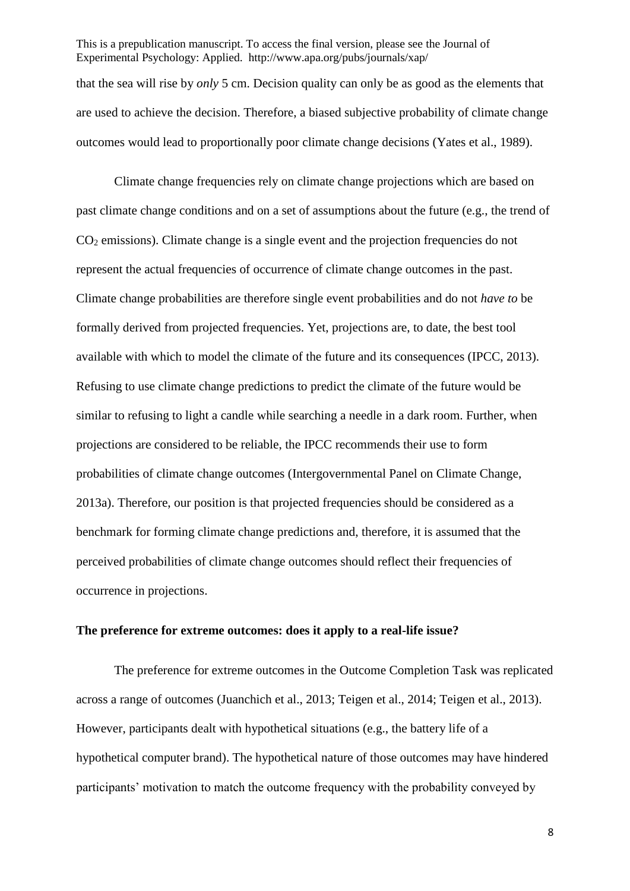This is a prepublication manuscript. To access the final version, please see the Journal of Experimental Psychology: Applied. http://www.apa.org/pubs/journals/xap/ that the sea will rise by *only* 5 cm. Decision quality can only be as good as the elements that are used to achieve the decision. Therefore, a biased subjective probability of climate change outcomes would lead to proportionally poor climate change decisions (Yates et al., 1989).

Climate change frequencies rely on climate change projections which are based on past climate change conditions and on a set of assumptions about the future (e.g., the trend of  $CO<sub>2</sub>$  emissions). Climate change is a single event and the projection frequencies do not represent the actual frequencies of occurrence of climate change outcomes in the past. Climate change probabilities are therefore single event probabilities and do not *have to* be formally derived from projected frequencies. Yet, projections are, to date, the best tool available with which to model the climate of the future and its consequences (IPCC, 2013). Refusing to use climate change predictions to predict the climate of the future would be similar to refusing to light a candle while searching a needle in a dark room. Further, when projections are considered to be reliable, the IPCC recommends their use to form probabilities of climate change outcomes (Intergovernmental Panel on Climate Change, 2013a). Therefore, our position is that projected frequencies should be considered as a benchmark for forming climate change predictions and, therefore, it is assumed that the perceived probabilities of climate change outcomes should reflect their frequencies of occurrence in projections.

### **The preference for extreme outcomes: does it apply to a real-life issue?**

The preference for extreme outcomes in the Outcome Completion Task was replicated across a range of outcomes (Juanchich et al., 2013; Teigen et al., 2014; Teigen et al., 2013). However, participants dealt with hypothetical situations (e.g., the battery life of a hypothetical computer brand). The hypothetical nature of those outcomes may have hindered participants' motivation to match the outcome frequency with the probability conveyed by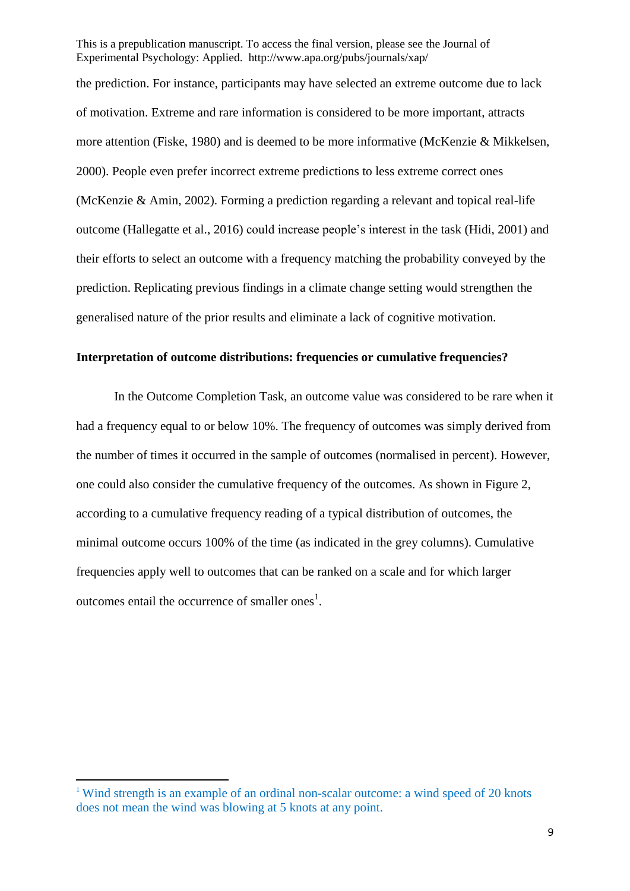the prediction. For instance, participants may have selected an extreme outcome due to lack of motivation. Extreme and rare information is considered to be more important, attracts more attention (Fiske, 1980) and is deemed to be more informative (McKenzie & Mikkelsen, 2000). People even prefer incorrect extreme predictions to less extreme correct ones (McKenzie & Amin, 2002). Forming a prediction regarding a relevant and topical real-life outcome (Hallegatte et al., 2016) could increase people's interest in the task (Hidi, 2001) and their efforts to select an outcome with a frequency matching the probability conveyed by the prediction. Replicating previous findings in a climate change setting would strengthen the generalised nature of the prior results and eliminate a lack of cognitive motivation.

# **Interpretation of outcome distributions: frequencies or cumulative frequencies?**

In the Outcome Completion Task, an outcome value was considered to be rare when it had a frequency equal to or below 10%. The frequency of outcomes was simply derived from the number of times it occurred in the sample of outcomes (normalised in percent). However, one could also consider the cumulative frequency of the outcomes. As shown in Figure 2, according to a cumulative frequency reading of a typical distribution of outcomes, the minimal outcome occurs 100% of the time (as indicated in the grey columns). Cumulative frequencies apply well to outcomes that can be ranked on a scale and for which larger outcomes entail the occurrence of smaller ones<sup>1</sup>.

**.** 

<sup>&</sup>lt;sup>1</sup> Wind strength is an example of an ordinal non-scalar outcome: a wind speed of 20 knots does not mean the wind was blowing at 5 knots at any point.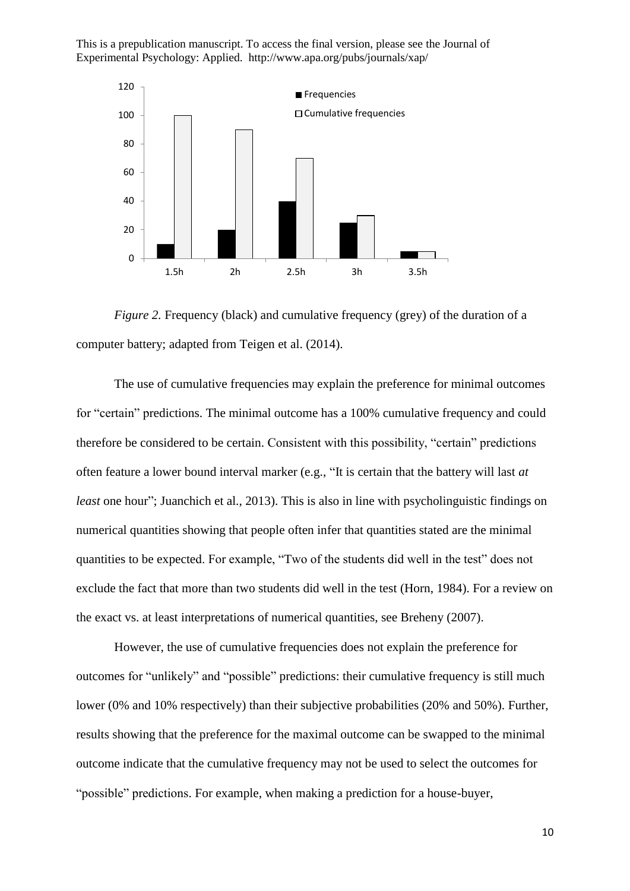

*Figure 2.* Frequency (black) and cumulative frequency (grey) of the duration of a computer battery; adapted from Teigen et al. (2014).

The use of cumulative frequencies may explain the preference for minimal outcomes for "certain" predictions. The minimal outcome has a 100% cumulative frequency and could therefore be considered to be certain. Consistent with this possibility, "certain" predictions often feature a lower bound interval marker (e.g., "It is certain that the battery will last *at least* one hour"; Juanchich et al., 2013). This is also in line with psycholinguistic findings on numerical quantities showing that people often infer that quantities stated are the minimal quantities to be expected. For example, "Two of the students did well in the test" does not exclude the fact that more than two students did well in the test (Horn, 1984). For a review on the exact vs. at least interpretations of numerical quantities, see Breheny (2007).

However, the use of cumulative frequencies does not explain the preference for outcomes for "unlikely" and "possible" predictions: their cumulative frequency is still much lower (0% and 10% respectively) than their subjective probabilities (20% and 50%). Further, results showing that the preference for the maximal outcome can be swapped to the minimal outcome indicate that the cumulative frequency may not be used to select the outcomes for "possible" predictions. For example, when making a prediction for a house-buyer,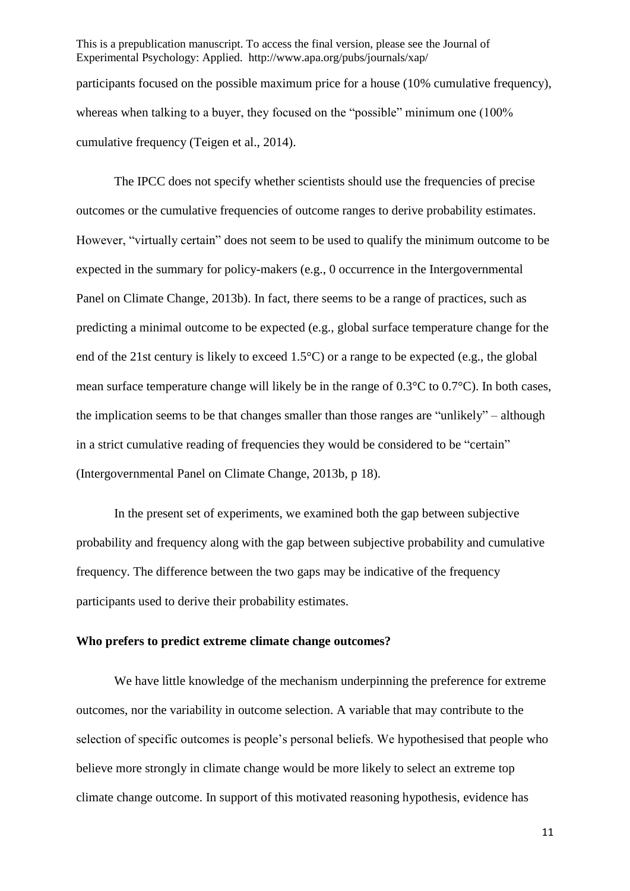This is a prepublication manuscript. To access the final version, please see the Journal of Experimental Psychology: Applied. http://www.apa.org/pubs/journals/xap/ participants focused on the possible maximum price for a house (10% cumulative frequency), whereas when talking to a buver, they focused on the "possible" minimum one (100%) cumulative frequency (Teigen et al., 2014).

The IPCC does not specify whether scientists should use the frequencies of precise outcomes or the cumulative frequencies of outcome ranges to derive probability estimates. However, "virtually certain" does not seem to be used to qualify the minimum outcome to be expected in the summary for policy-makers (e.g., 0 occurrence in the Intergovernmental Panel on Climate Change, 2013b). In fact, there seems to be a range of practices, such as predicting a minimal outcome to be expected (e.g., global surface temperature change for the end of the 21st century is likely to exceed 1.5°C) or a range to be expected (e.g., the global mean surface temperature change will likely be in the range of 0.3°C to 0.7°C). In both cases, the implication seems to be that changes smaller than those ranges are "unlikely" – although in a strict cumulative reading of frequencies they would be considered to be "certain" (Intergovernmental Panel on Climate Change, 2013b, p 18).

In the present set of experiments, we examined both the gap between subjective probability and frequency along with the gap between subjective probability and cumulative frequency. The difference between the two gaps may be indicative of the frequency participants used to derive their probability estimates.

#### **Who prefers to predict extreme climate change outcomes?**

We have little knowledge of the mechanism underpinning the preference for extreme outcomes, nor the variability in outcome selection. A variable that may contribute to the selection of specific outcomes is people's personal beliefs. We hypothesised that people who believe more strongly in climate change would be more likely to select an extreme top climate change outcome. In support of this motivated reasoning hypothesis, evidence has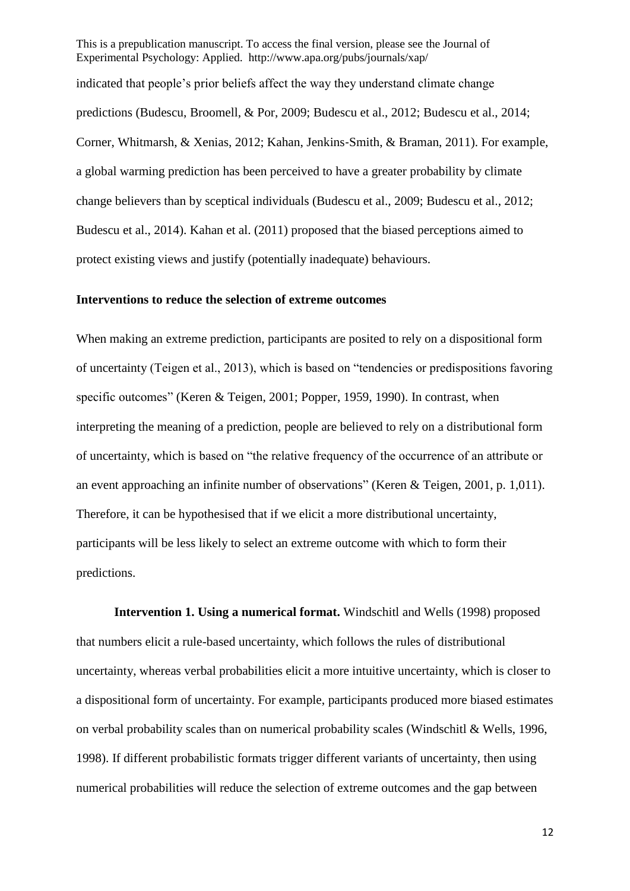This is a prepublication manuscript. To access the final version, please see the Journal of Experimental Psychology: Applied. http://www.apa.org/pubs/journals/xap/ indicated that people's prior beliefs affect the way they understand climate change predictions (Budescu, Broomell, & Por, 2009; Budescu et al., 2012; Budescu et al., 2014; Corner, Whitmarsh, & Xenias, 2012; Kahan, Jenkins‐Smith, & Braman, 2011). For example, a global warming prediction has been perceived to have a greater probability by climate change believers than by sceptical individuals (Budescu et al., 2009; Budescu et al., 2012; Budescu et al., 2014). Kahan et al. (2011) proposed that the biased perceptions aimed to protect existing views and justify (potentially inadequate) behaviours.

# **Interventions to reduce the selection of extreme outcomes**

When making an extreme prediction, participants are posited to rely on a dispositional form of uncertainty (Teigen et al., 2013), which is based on "tendencies or predispositions favoring specific outcomes" (Keren & Teigen, 2001; Popper, 1959, 1990). In contrast, when interpreting the meaning of a prediction, people are believed to rely on a distributional form of uncertainty, which is based on "the relative frequency of the occurrence of an attribute or an event approaching an infinite number of observations" (Keren & Teigen, 2001, p. 1,011). Therefore, it can be hypothesised that if we elicit a more distributional uncertainty, participants will be less likely to select an extreme outcome with which to form their predictions.

**Intervention 1. Using a numerical format.** Windschitl and Wells (1998) proposed that numbers elicit a rule-based uncertainty, which follows the rules of distributional uncertainty, whereas verbal probabilities elicit a more intuitive uncertainty, which is closer to a dispositional form of uncertainty. For example, participants produced more biased estimates on verbal probability scales than on numerical probability scales (Windschitl & Wells, 1996, 1998). If different probabilistic formats trigger different variants of uncertainty, then using numerical probabilities will reduce the selection of extreme outcomes and the gap between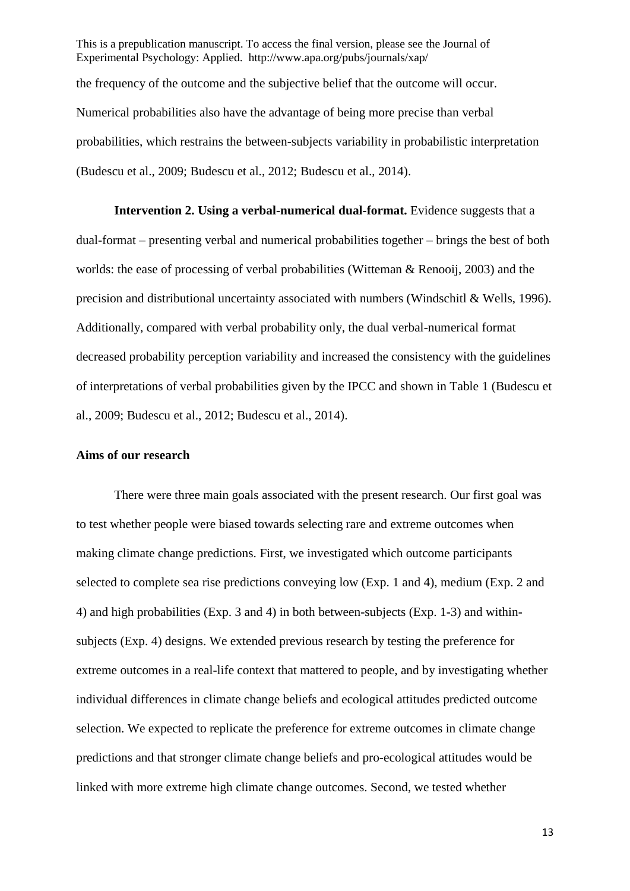This is a prepublication manuscript. To access the final version, please see the Journal of Experimental Psychology: Applied. http://www.apa.org/pubs/journals/xap/ the frequency of the outcome and the subjective belief that the outcome will occur. Numerical probabilities also have the advantage of being more precise than verbal probabilities, which restrains the between-subjects variability in probabilistic interpretation (Budescu et al., 2009; Budescu et al., 2012; Budescu et al., 2014).

**Intervention 2. Using a verbal-numerical dual-format.** Evidence suggests that a dual-format – presenting verbal and numerical probabilities together – brings the best of both worlds: the ease of processing of verbal probabilities (Witteman & Renooij, 2003) and the precision and distributional uncertainty associated with numbers (Windschitl & Wells, 1996). Additionally, compared with verbal probability only, the dual verbal-numerical format decreased probability perception variability and increased the consistency with the guidelines of interpretations of verbal probabilities given by the IPCC and shown in Table 1 (Budescu et al., 2009; Budescu et al., 2012; Budescu et al., 2014).

#### **Aims of our research**

There were three main goals associated with the present research. Our first goal was to test whether people were biased towards selecting rare and extreme outcomes when making climate change predictions. First, we investigated which outcome participants selected to complete sea rise predictions conveying low (Exp. 1 and 4), medium (Exp. 2 and 4) and high probabilities (Exp. 3 and 4) in both between-subjects (Exp. 1-3) and withinsubjects (Exp. 4) designs. We extended previous research by testing the preference for extreme outcomes in a real-life context that mattered to people, and by investigating whether individual differences in climate change beliefs and ecological attitudes predicted outcome selection. We expected to replicate the preference for extreme outcomes in climate change predictions and that stronger climate change beliefs and pro-ecological attitudes would be linked with more extreme high climate change outcomes. Second, we tested whether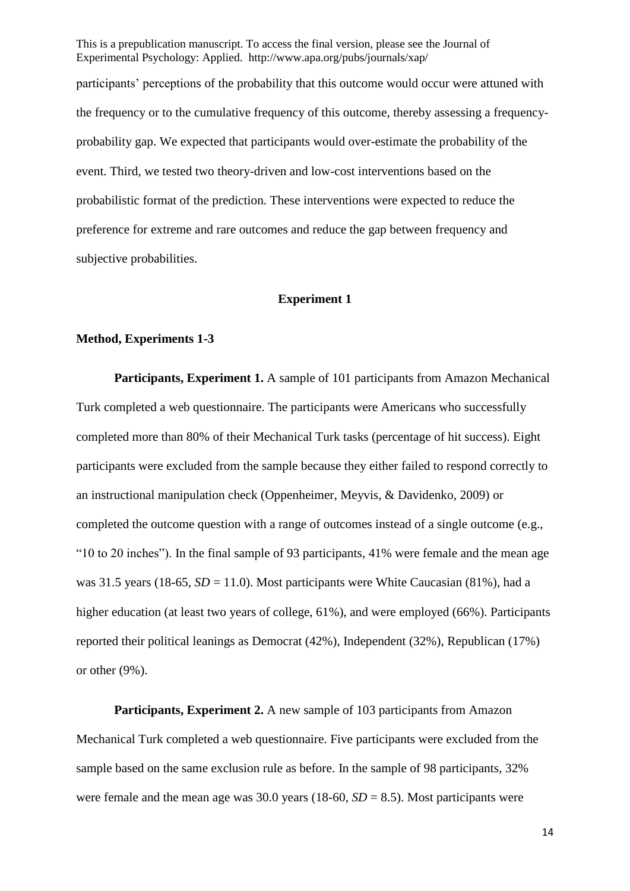Experimental Psychology: Applied. http://www.apa.org/pubs/journals/xap/ participants' perceptions of the probability that this outcome would occur were attuned with the frequency or to the cumulative frequency of this outcome, thereby assessing a frequencyprobability gap. We expected that participants would over-estimate the probability of the event. Third, we tested two theory-driven and low-cost interventions based on the probabilistic format of the prediction. These interventions were expected to reduce the preference for extreme and rare outcomes and reduce the gap between frequency and subjective probabilities.

This is a prepublication manuscript. To access the final version, please see the Journal of

## **Experiment 1**

#### **Method, Experiments 1-3**

**Participants, Experiment 1.** A sample of 101 participants from Amazon Mechanical Turk completed a web questionnaire. The participants were Americans who successfully completed more than 80% of their Mechanical Turk tasks (percentage of hit success). Eight participants were excluded from the sample because they either failed to respond correctly to an instructional manipulation check (Oppenheimer, Meyvis, & Davidenko, 2009) or completed the outcome question with a range of outcomes instead of a single outcome (e.g., "10 to 20 inches"). In the final sample of 93 participants, 41% were female and the mean age was 31.5 years (18-65,  $SD = 11.0$ ). Most participants were White Caucasian (81%), had a higher education (at least two years of college, 61%), and were employed (66%). Participants reported their political leanings as Democrat (42%), Independent (32%), Republican (17%) or other (9%).

**Participants, Experiment 2.** A new sample of 103 participants from Amazon Mechanical Turk completed a web questionnaire. Five participants were excluded from the sample based on the same exclusion rule as before. In the sample of 98 participants, 32% were female and the mean age was  $30.0$  years (18-60,  $SD = 8.5$ ). Most participants were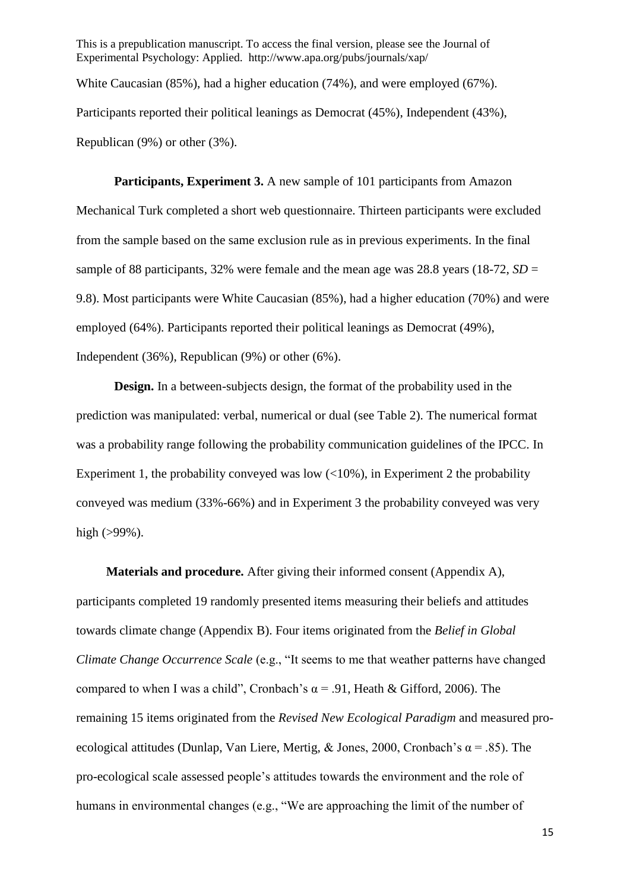This is a prepublication manuscript. To access the final version, please see the Journal of Experimental Psychology: Applied. http://www.apa.org/pubs/journals/xap/ White Caucasian (85%), had a higher education (74%), and were employed (67%). Participants reported their political leanings as Democrat (45%), Independent (43%), Republican (9%) or other (3%).

**Participants, Experiment 3.** A new sample of 101 participants from Amazon Mechanical Turk completed a short web questionnaire. Thirteen participants were excluded from the sample based on the same exclusion rule as in previous experiments. In the final sample of 88 participants,  $32\%$  were female and the mean age was 28.8 years (18-72,  $SD =$ 9.8). Most participants were White Caucasian (85%), had a higher education (70%) and were employed (64%). Participants reported their political leanings as Democrat (49%), Independent (36%), Republican (9%) or other (6%).

**Design.** In a between-subjects design, the format of the probability used in the prediction was manipulated: verbal, numerical or dual (see Table 2). The numerical format was a probability range following the probability communication guidelines of the IPCC. In Experiment 1, the probability conveyed was low  $\left($ <10%), in Experiment 2 the probability conveyed was medium (33%-66%) and in Experiment 3 the probability conveyed was very high  $(>99\%)$ .

**Materials and procedure.** After giving their informed consent (Appendix A), participants completed 19 randomly presented items measuring their beliefs and attitudes towards climate change (Appendix B). Four items originated from the *Belief in Global Climate Change Occurrence Scale* (e.g., "It seems to me that weather patterns have changed compared to when I was a child", Cronbach's  $\alpha$  = .91, Heath & Gifford, 2006). The remaining 15 items originated from the *Revised New Ecological Paradigm* and measured proecological attitudes (Dunlap, Van Liere, Mertig, & Jones, 2000, Cronbach's  $\alpha$  = .85). The pro-ecological scale assessed people's attitudes towards the environment and the role of humans in environmental changes (e.g., "We are approaching the limit of the number of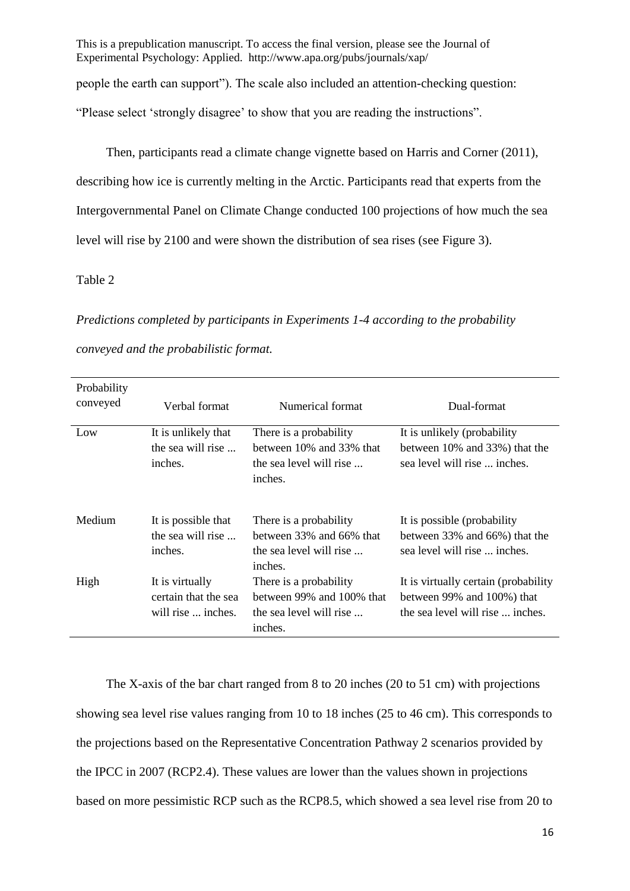This is a prepublication manuscript. To access the final version, please see the Journal of Experimental Psychology: Applied. http://www.apa.org/pubs/journals/xap/ people the earth can support"). The scale also included an attention-checking question: "Please select 'strongly disagree' to show that you are reading the instructions".

Then, participants read a climate change vignette based on Harris and Corner (2011), describing how ice is currently melting in the Arctic. Participants read that experts from the Intergovernmental Panel on Climate Change conducted 100 projections of how much the sea level will rise by 2100 and were shown the distribution of sea rises (see Figure 3).

### Table 2

*Predictions completed by participants in Experiments 1-4 according to the probability conveyed and the probabilistic format.*

| Probability<br>conveyed | Verbal format                                                 | Numerical format                                                                               | Dual-format                                                                                            |
|-------------------------|---------------------------------------------------------------|------------------------------------------------------------------------------------------------|--------------------------------------------------------------------------------------------------------|
| Low                     | It is unlikely that<br>the sea will rise                      | There is a probability<br>between 10% and 33% that                                             | It is unlikely (probability<br>between 10% and 33%) that the                                           |
|                         | inches.                                                       | the sea level will rise<br>inches.                                                             | sea level will rise  inches.                                                                           |
| Medium                  | It is possible that<br>the sea will rise $\ldots$<br>inches.  | There is a probability<br>between $33\%$ and $66\%$ that<br>the sea level will rise<br>inches. | It is possible (probability)<br>between 33% and 66%) that the<br>sea level will rise  inches.          |
| High                    | It is virtually<br>certain that the sea<br>will rise  inches. | There is a probability<br>between 99% and 100% that<br>the sea level will rise<br>inches.      | It is virtually certain (probability<br>between 99% and 100%) that<br>the sea level will rise  inches. |

The X-axis of the bar chart ranged from 8 to 20 inches (20 to 51 cm) with projections showing sea level rise values ranging from 10 to 18 inches (25 to 46 cm). This corresponds to the projections based on the Representative Concentration Pathway 2 scenarios provided by the IPCC in 2007 (RCP2.4). These values are lower than the values shown in projections based on more pessimistic RCP such as the RCP8.5, which showed a sea level rise from 20 to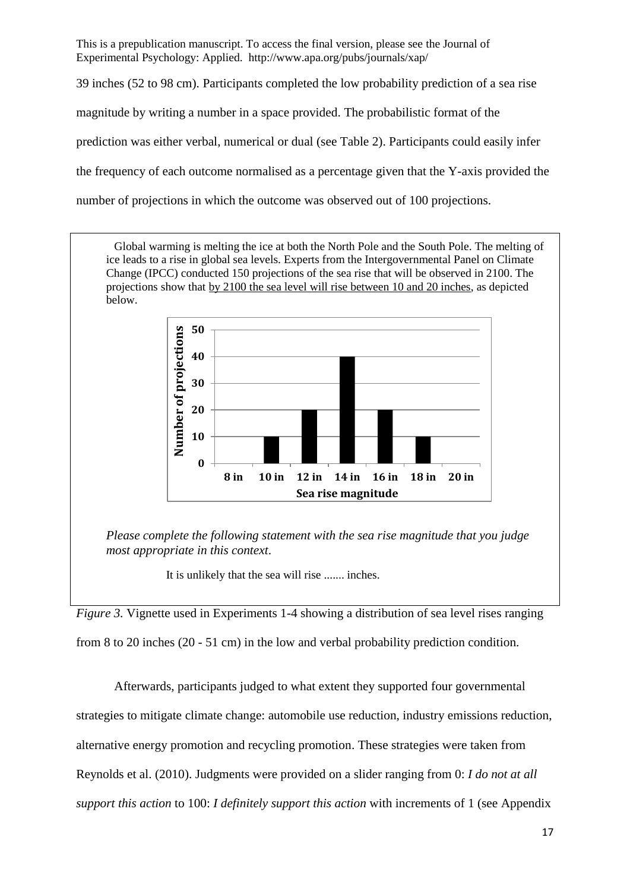39 inches (52 to 98 cm). Participants completed the low probability prediction of a sea rise

magnitude by writing a number in a space provided. The probabilistic format of the

prediction was either verbal, numerical or dual (see Table 2). Participants could easily infer

the frequency of each outcome normalised as a percentage given that the Y-axis provided the

number of projections in which the outcome was observed out of 100 projections.

Global warming is melting the ice at both the North Pole and the South Pole. The melting of ice leads to a rise in global sea levels. Experts from the Intergovernmental Panel on Climate Change (IPCC) conducted 150 projections of the sea rise that will be observed in 2100. The projections show that by 2100 the sea level will rise between 10 and 20 inches, as depicted below.



*Please complete the following statement with the sea rise magnitude that you judge most appropriate in this context*.

It is unlikely that the sea will rise ....... inches.

*Figure 3.* Vignette used in Experiments 1-4 showing a distribution of sea level rises ranging

from 8 to 20 inches (20 - 51 cm) in the low and verbal probability prediction condition.

Afterwards, participants judged to what extent they supported four governmental strategies to mitigate climate change: automobile use reduction, industry emissions reduction, alternative energy promotion and recycling promotion. These strategies were taken from Reynolds et al. (2010). Judgments were provided on a slider ranging from 0: *I do not at all support this action* to 100: *I definitely support this action* with increments of 1 (see Appendix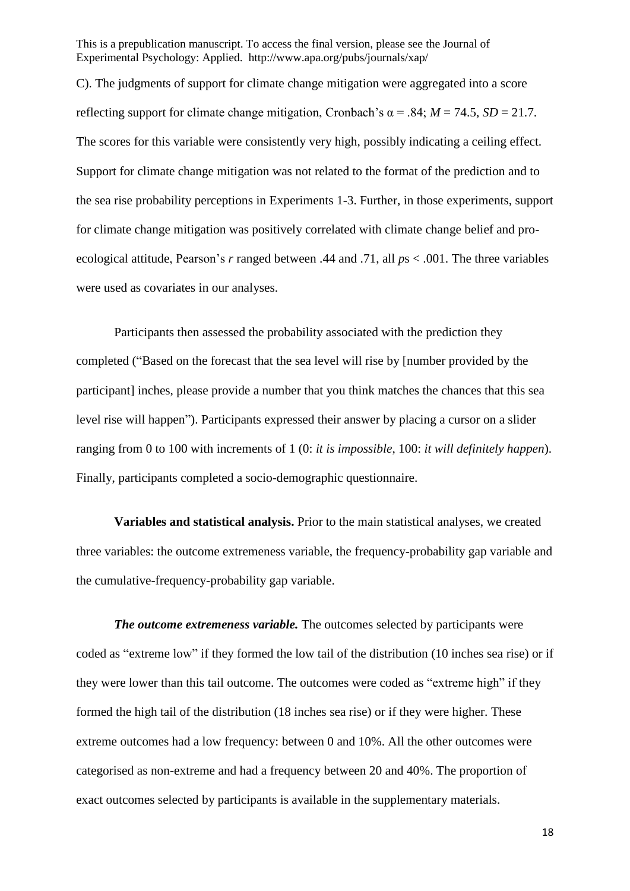C). The judgments of support for climate change mitigation were aggregated into a score reflecting support for climate change mitigation, Cronbach's  $\alpha$  = .84; *M* = 74.5, *SD* = 21.7. The scores for this variable were consistently very high, possibly indicating a ceiling effect. Support for climate change mitigation was not related to the format of the prediction and to the sea rise probability perceptions in Experiments 1-3. Further, in those experiments, support for climate change mitigation was positively correlated with climate change belief and proecological attitude, Pearson's *r* ranged between .44 and .71, all *p*s < .001. The three variables were used as covariates in our analyses.

Participants then assessed the probability associated with the prediction they completed ("Based on the forecast that the sea level will rise by [number provided by the participant] inches, please provide a number that you think matches the chances that this sea level rise will happen"). Participants expressed their answer by placing a cursor on a slider ranging from 0 to 100 with increments of 1 (0: *it is impossible*, 100: *it will definitely happen*). Finally, participants completed a socio-demographic questionnaire.

**Variables and statistical analysis.** Prior to the main statistical analyses, we created three variables: the outcome extremeness variable, the frequency-probability gap variable and the cumulative-frequency-probability gap variable.

*The outcome extremeness variable.* The outcomes selected by participants were coded as "extreme low" if they formed the low tail of the distribution (10 inches sea rise) or if they were lower than this tail outcome. The outcomes were coded as "extreme high" if they formed the high tail of the distribution (18 inches sea rise) or if they were higher. These extreme outcomes had a low frequency: between 0 and 10%. All the other outcomes were categorised as non-extreme and had a frequency between 20 and 40%. The proportion of exact outcomes selected by participants is available in the supplementary materials.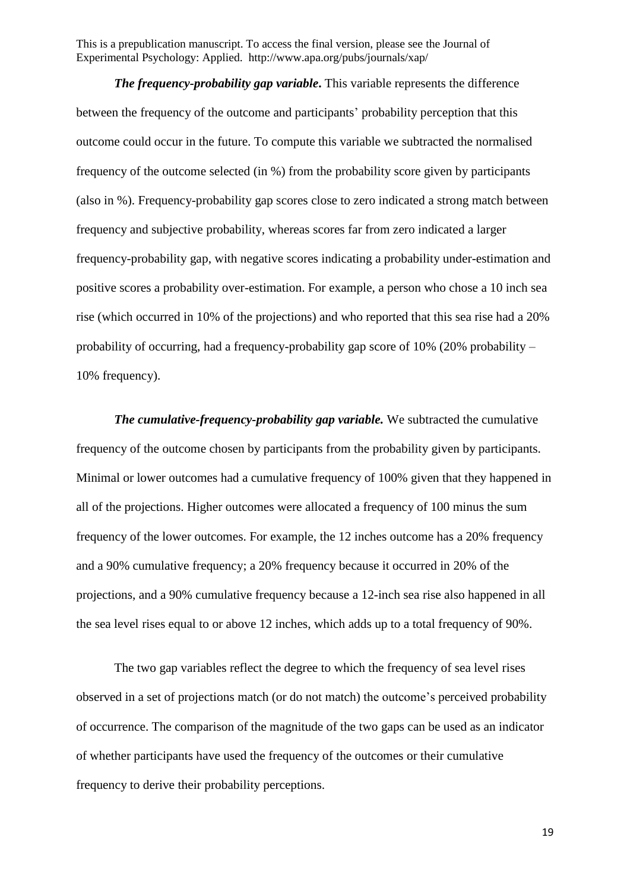*The frequency-probability gap variable***.** This variable represents the difference between the frequency of the outcome and participants' probability perception that this outcome could occur in the future. To compute this variable we subtracted the normalised frequency of the outcome selected (in %) from the probability score given by participants (also in %). Frequency-probability gap scores close to zero indicated a strong match between frequency and subjective probability, whereas scores far from zero indicated a larger frequency-probability gap, with negative scores indicating a probability under-estimation and positive scores a probability over-estimation. For example, a person who chose a 10 inch sea rise (which occurred in 10% of the projections) and who reported that this sea rise had a 20% probability of occurring, had a frequency-probability gap score of 10% (20% probability – 10% frequency).

*The cumulative-frequency-probability gap variable.* We subtracted the cumulative frequency of the outcome chosen by participants from the probability given by participants. Minimal or lower outcomes had a cumulative frequency of 100% given that they happened in all of the projections. Higher outcomes were allocated a frequency of 100 minus the sum frequency of the lower outcomes. For example, the 12 inches outcome has a 20% frequency and a 90% cumulative frequency; a 20% frequency because it occurred in 20% of the projections, and a 90% cumulative frequency because a 12-inch sea rise also happened in all the sea level rises equal to or above 12 inches, which adds up to a total frequency of 90%.

The two gap variables reflect the degree to which the frequency of sea level rises observed in a set of projections match (or do not match) the outcome's perceived probability of occurrence. The comparison of the magnitude of the two gaps can be used as an indicator of whether participants have used the frequency of the outcomes or their cumulative frequency to derive their probability perceptions.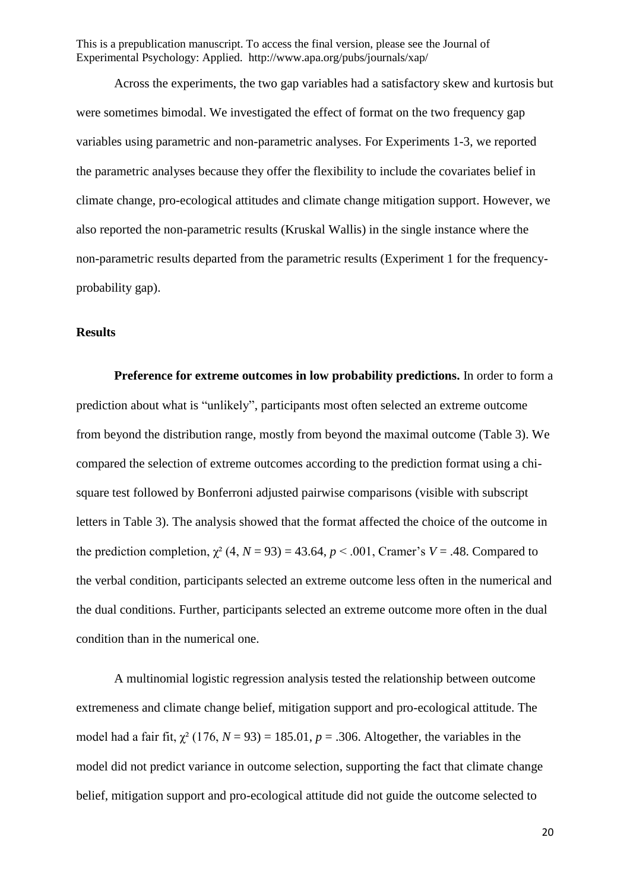Across the experiments, the two gap variables had a satisfactory skew and kurtosis but were sometimes bimodal. We investigated the effect of format on the two frequency gap variables using parametric and non-parametric analyses. For Experiments 1-3, we reported the parametric analyses because they offer the flexibility to include the covariates belief in climate change, pro-ecological attitudes and climate change mitigation support. However, we also reported the non-parametric results (Kruskal Wallis) in the single instance where the non-parametric results departed from the parametric results (Experiment 1 for the frequencyprobability gap).

## **Results**

**Preference for extreme outcomes in low probability predictions.** In order to form a prediction about what is "unlikely", participants most often selected an extreme outcome from beyond the distribution range, mostly from beyond the maximal outcome (Table 3). We compared the selection of extreme outcomes according to the prediction format using a chisquare test followed by Bonferroni adjusted pairwise comparisons (visible with subscript letters in Table 3). The analysis showed that the format affected the choice of the outcome in the prediction completion,  $\chi^2$  (4, *N* = 93) = 43.64, *p* < .001, Cramer's *V* = .48. Compared to the verbal condition, participants selected an extreme outcome less often in the numerical and the dual conditions. Further, participants selected an extreme outcome more often in the dual condition than in the numerical one.

A multinomial logistic regression analysis tested the relationship between outcome extremeness and climate change belief, mitigation support and pro-ecological attitude. The model had a fair fit,  $\gamma^2$  (176, *N* = 93) = 185.01, *p* = .306. Altogether, the variables in the model did not predict variance in outcome selection, supporting the fact that climate change belief, mitigation support and pro-ecological attitude did not guide the outcome selected to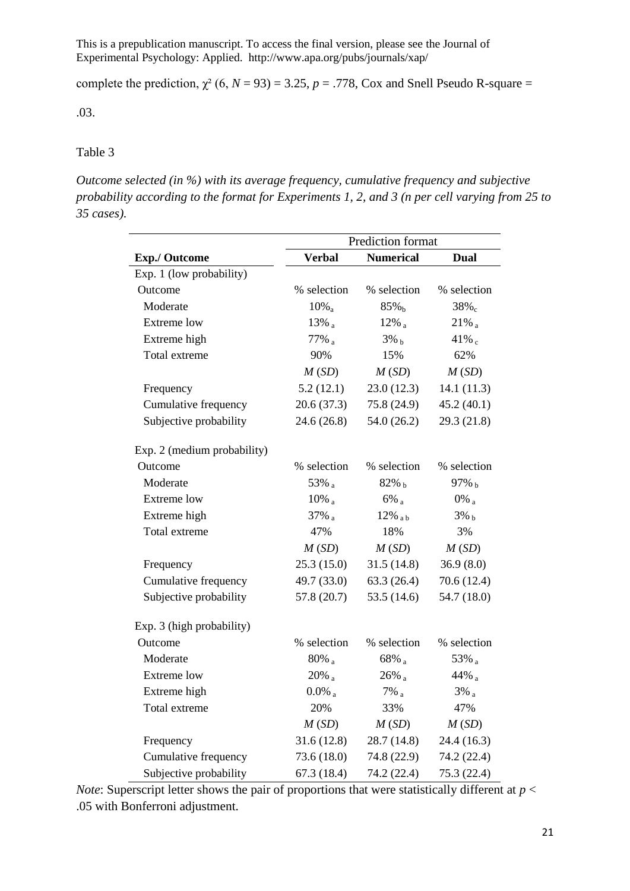complete the prediction,  $\chi^2$  (6, *N* = 93) = 3.25, *p* = .778, Cox and Snell Pseudo R-square =

.03.

### Table 3

*Outcome selected (in %) with its average frequency, cumulative frequency and subjective probability according to the format for Experiments 1, 2, and 3 (n per cell varying from 25 to 35 cases).*

|                             | Prediction format    |                    |                     |  |  |  |  |
|-----------------------------|----------------------|--------------------|---------------------|--|--|--|--|
| <b>Exp./ Outcome</b>        | <b>Verbal</b>        | <b>Numerical</b>   | Dual                |  |  |  |  |
| Exp. 1 (low probability)    |                      |                    |                     |  |  |  |  |
| Outcome                     | % selection          | % selection        | % selection         |  |  |  |  |
| Moderate                    | $10\%$ <sub>a</sub>  | 85% <sub>b</sub>   | $38\%$ <sub>c</sub> |  |  |  |  |
| Extreme low                 | $13\%$ <sub>a</sub>  | $12\%$             | $21\%$ <sub>a</sub> |  |  |  |  |
| Extreme high                | 77% a                | $3\%$ b            | 41% $_{c}$          |  |  |  |  |
| Total extreme               | 90%                  | 15%                | 62%                 |  |  |  |  |
|                             | M(SD)                | M(SD)              | M(SD)               |  |  |  |  |
| Frequency                   | 5.2(12.1)            | 23.0(12.3)         | 14.1(11.3)          |  |  |  |  |
| Cumulative frequency        | 20.6(37.3)           | 75.8 (24.9)        | 45.2(40.1)          |  |  |  |  |
| Subjective probability      | 24.6 (26.8)          | 54.0(26.2)         | 29.3 (21.8)         |  |  |  |  |
| Exp. 2 (medium probability) |                      |                    |                     |  |  |  |  |
| Outcome                     | % selection          | % selection        | % selection         |  |  |  |  |
| Moderate                    | 53% a                | $82\%$ b           | 97% b               |  |  |  |  |
| <b>Extreme low</b>          | $10\%$ <sub>a</sub>  | $6\%$ <sub>a</sub> | $0\%$ <sub>a</sub>  |  |  |  |  |
| Extreme high                | 37% a                | $12\%$ ab          | $3\%$ <sub>b</sub>  |  |  |  |  |
| Total extreme               | 47%                  | 18%                | 3%                  |  |  |  |  |
|                             | M(SD)                | M(SD)              | M(SD)               |  |  |  |  |
| Frequency                   | 25.3(15.0)           | 31.5(14.8)         | 36.9(8.0)           |  |  |  |  |
| Cumulative frequency        | 49.7 (33.0)          | 63.3(26.4)         | 70.6 (12.4)         |  |  |  |  |
| Subjective probability      | 57.8 (20.7)          | 53.5 $(14.6)$      | 54.7 (18.0)         |  |  |  |  |
| Exp. 3 (high probability)   |                      |                    |                     |  |  |  |  |
| Outcome                     | % selection          | % selection        | % selection         |  |  |  |  |
| Moderate                    | $80\%$ <sub>a</sub>  | 68% a              | 53% a               |  |  |  |  |
| Extreme low                 | $20\%$ a             | $26\%$ a           | 44% $_{a}$          |  |  |  |  |
| Extreme high                | $0.0\%$ <sub>a</sub> | $7\%$ <sup>a</sup> | $3\%$ <sub>a</sub>  |  |  |  |  |
| Total extreme               | 20%                  | 33%                | 47%                 |  |  |  |  |
|                             | M(SD)                | M(SD)              | M(SD)               |  |  |  |  |
| Frequency                   | 31.6(12.8)           | 28.7 (14.8)        | 24.4 (16.3)         |  |  |  |  |
| Cumulative frequency        | 73.6 (18.0)          | 74.8 (22.9)        | 74.2 (22.4)         |  |  |  |  |
| Subjective probability      | 67.3 (18.4)          | 74.2 (22.4)        | 75.3 (22.4)         |  |  |  |  |

*Note*: Superscript letter shows the pair of proportions that were statistically different at  $p <$ .05 with Bonferroni adjustment.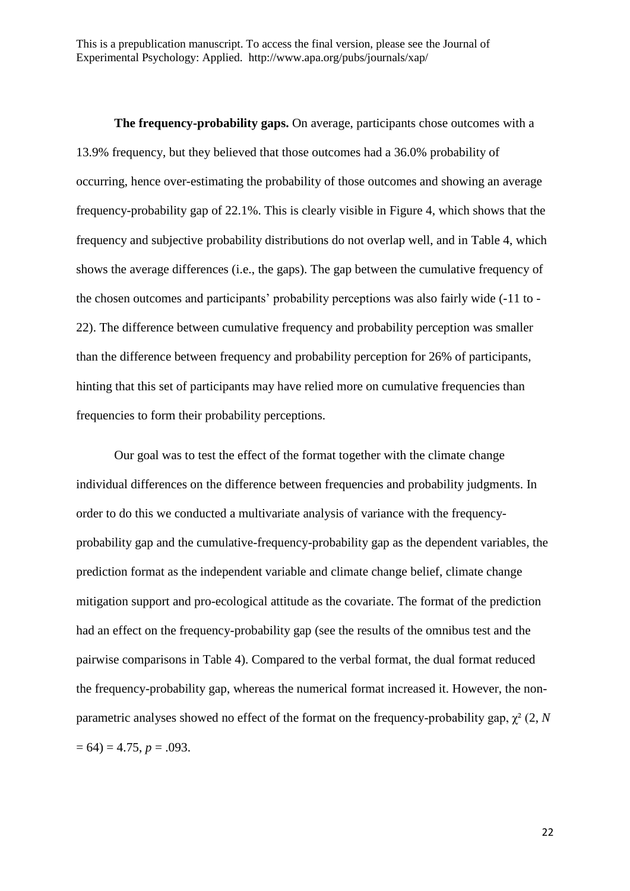**The frequency-probability gaps.** On average, participants chose outcomes with a 13.9% frequency, but they believed that those outcomes had a 36.0% probability of occurring, hence over-estimating the probability of those outcomes and showing an average frequency-probability gap of 22.1%. This is clearly visible in Figure 4, which shows that the frequency and subjective probability distributions do not overlap well, and in Table 4, which shows the average differences (i.e., the gaps). The gap between the cumulative frequency of the chosen outcomes and participants' probability perceptions was also fairly wide (-11 to - 22). The difference between cumulative frequency and probability perception was smaller than the difference between frequency and probability perception for 26% of participants, hinting that this set of participants may have relied more on cumulative frequencies than frequencies to form their probability perceptions.

Our goal was to test the effect of the format together with the climate change individual differences on the difference between frequencies and probability judgments. In order to do this we conducted a multivariate analysis of variance with the frequencyprobability gap and the cumulative-frequency-probability gap as the dependent variables, the prediction format as the independent variable and climate change belief, climate change mitigation support and pro-ecological attitude as the covariate. The format of the prediction had an effect on the frequency-probability gap (see the results of the omnibus test and the pairwise comparisons in Table 4). Compared to the verbal format, the dual format reduced the frequency-probability gap, whereas the numerical format increased it. However, the nonparametric analyses showed no effect of the format on the frequency-probability gap, χ² (2, *N*  $= 64$ )  $= 4.75, p = .093.$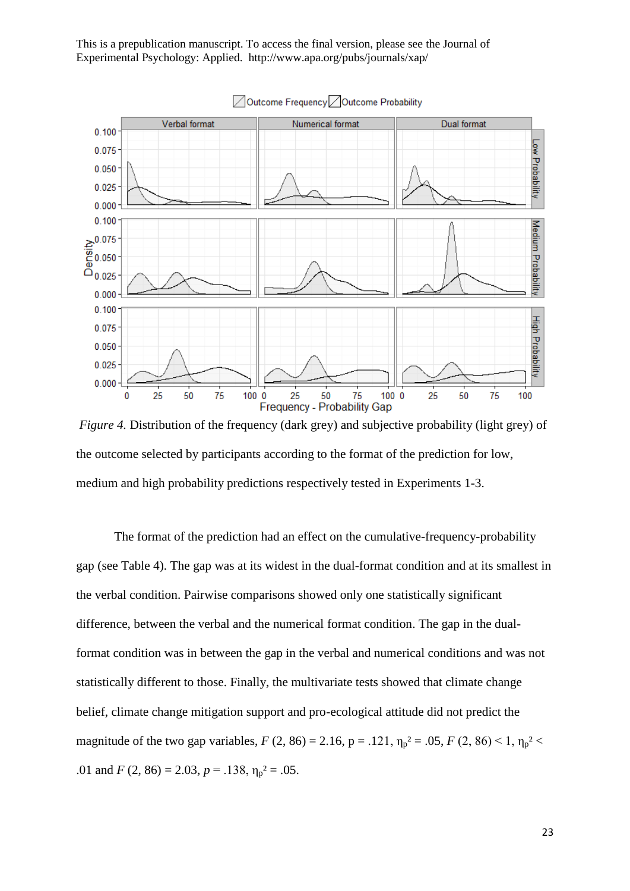

*Figure 4.* Distribution of the frequency (dark grey) and subjective probability (light grey) of the outcome selected by participants according to the format of the prediction for low, medium and high probability predictions respectively tested in Experiments 1-3.

The format of the prediction had an effect on the cumulative-frequency-probability gap (see Table 4). The gap was at its widest in the dual-format condition and at its smallest in the verbal condition. Pairwise comparisons showed only one statistically significant difference, between the verbal and the numerical format condition. The gap in the dualformat condition was in between the gap in the verbal and numerical conditions and was not statistically different to those. Finally, the multivariate tests showed that climate change belief, climate change mitigation support and pro-ecological attitude did not predict the magnitude of the two gap variables,  $F(2, 86) = 2.16$ ,  $p = .121$ ,  $\eta_p^2 = .05$ ,  $F(2, 86) \le 1$ ,  $\eta_p^2$ .01 and *F* (2, 86) = 2.03,  $p = .138$ ,  $\eta_p^2 = .05$ .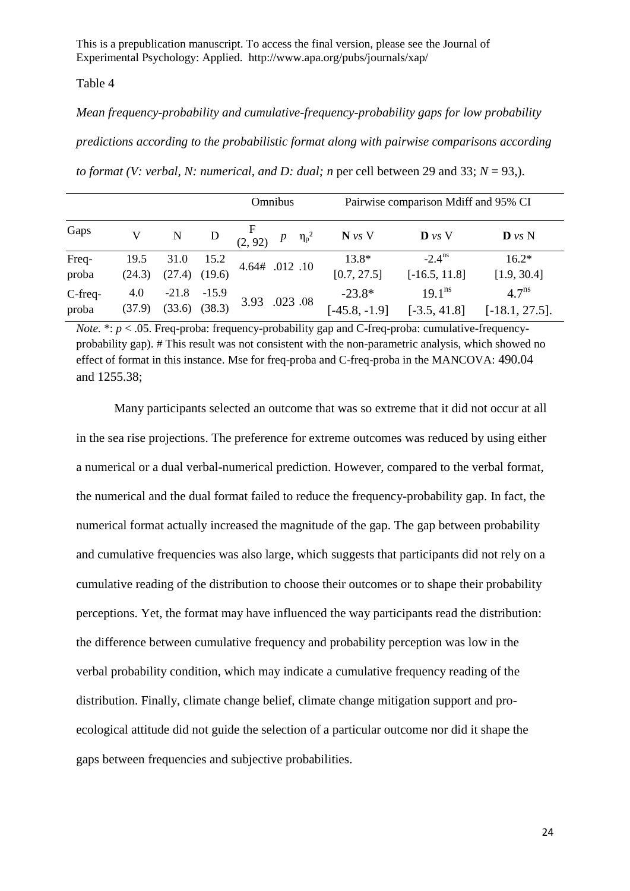#### Table 4

# *Mean frequency-probability and cumulative-frequency-probability gaps for low probability*

*predictions according to the probabilistic format along with pairwise comparisons according* 

| to format (V: verbal, N: numerical, and D: dual; n per cell between 29 and 33; $N = 93$ .). |  |  |  |  |  |
|---------------------------------------------------------------------------------------------|--|--|--|--|--|
|                                                                                             |  |  |  |  |  |

|                  |                |                              |         | Omnibus                          |                             | Pairwise comparison Mdiff and 95% CI  |                                        |  |  |
|------------------|----------------|------------------------------|---------|----------------------------------|-----------------------------|---------------------------------------|----------------------------------------|--|--|
| Gaps             | V              | N                            | D       | $\frac{F}{(2, 92)}$ $p \eta_p^2$ | $N$ vs V                    | $\mathbf{D}$ vs V                     | $\mathbf{D}$ vs N                      |  |  |
| Freq-<br>proba   | 19.5<br>(24.3) | 31.0<br>$(27.4)$ $(19.6)$    | 15.2    | 4.64# .012 .10                   | $13.8*$<br>[0.7, 27.5]      | $-2.4^{\text{ns}}$<br>$[-16.5, 11.8]$ | $16.2*$<br>[1.9, 30.4]                 |  |  |
| C-freq-<br>proba | 4.0<br>(37.9)  | $-21.8$<br>$(33.6)$ $(38.3)$ | $-15.9$ | 3.93 .023 .08                    | $-23.8*$<br>$[-45.8, -1.9]$ | $19.1^{ns}$<br>$[-3.5, 41.8]$         | 4.7 <sup>ns</sup><br>$[-18.1, 27.5]$ . |  |  |

*Note.* \*:  $p < .05$ . Freq-proba: frequency-probability gap and C-freq-proba: cumulative-frequencyprobability gap). # This result was not consistent with the non-parametric analysis, which showed no effect of format in this instance. Mse for freq-proba and C-freq-proba in the MANCOVA: 490.04 and 1255.38;

Many participants selected an outcome that was so extreme that it did not occur at all in the sea rise projections. The preference for extreme outcomes was reduced by using either a numerical or a dual verbal-numerical prediction. However, compared to the verbal format, the numerical and the dual format failed to reduce the frequency-probability gap. In fact, the numerical format actually increased the magnitude of the gap. The gap between probability and cumulative frequencies was also large, which suggests that participants did not rely on a cumulative reading of the distribution to choose their outcomes or to shape their probability perceptions. Yet, the format may have influenced the way participants read the distribution: the difference between cumulative frequency and probability perception was low in the verbal probability condition, which may indicate a cumulative frequency reading of the distribution. Finally, climate change belief, climate change mitigation support and proecological attitude did not guide the selection of a particular outcome nor did it shape the gaps between frequencies and subjective probabilities.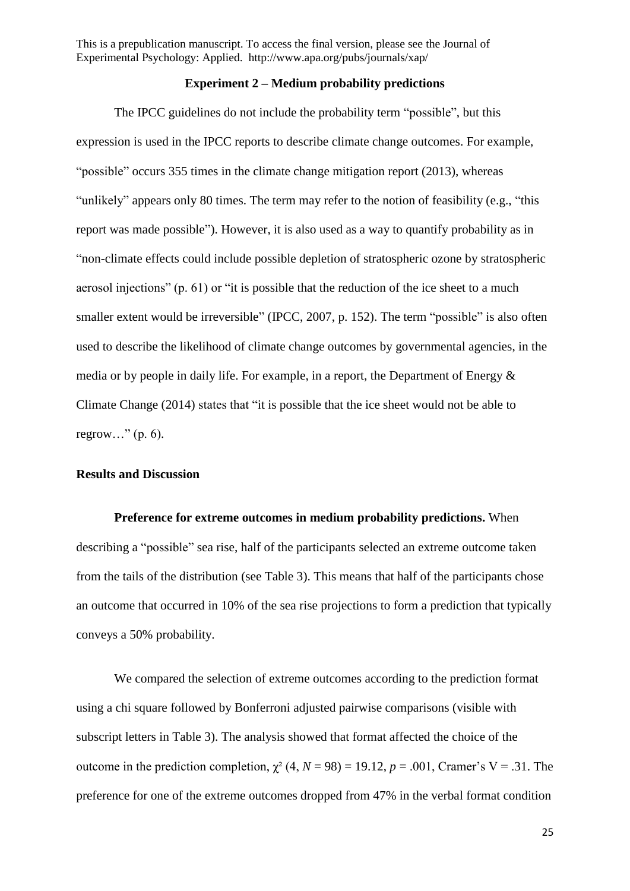### **Experiment 2 – Medium probability predictions**

The IPCC guidelines do not include the probability term "possible", but this expression is used in the IPCC reports to describe climate change outcomes. For example, "possible" occurs 355 times in the climate change mitigation report (2013), whereas "unlikely" appears only 80 times. The term may refer to the notion of feasibility (e.g., "this report was made possible"). However, it is also used as a way to quantify probability as in "non-climate effects could include possible depletion of stratospheric ozone by stratospheric aerosol injections" (p. 61) or "it is possible that the reduction of the ice sheet to a much smaller extent would be irreversible" (IPCC, 2007, p. 152). The term "possible" is also often used to describe the likelihood of climate change outcomes by governmental agencies, in the media or by people in daily life. For example, in a report, the Department of Energy & Climate Change (2014) states that "it is possible that the ice sheet would not be able to regrow..." $(p. 6)$ .

## **Results and Discussion**

**Preference for extreme outcomes in medium probability predictions.** When describing a "possible" sea rise, half of the participants selected an extreme outcome taken from the tails of the distribution (see Table 3). This means that half of the participants chose an outcome that occurred in 10% of the sea rise projections to form a prediction that typically conveys a 50% probability.

We compared the selection of extreme outcomes according to the prediction format using a chi square followed by Bonferroni adjusted pairwise comparisons (visible with subscript letters in Table 3). The analysis showed that format affected the choice of the outcome in the prediction completion,  $\chi^2$  (4, *N* = 98) = 19.12, *p* = .001, Cramer's V = .31. The preference for one of the extreme outcomes dropped from 47% in the verbal format condition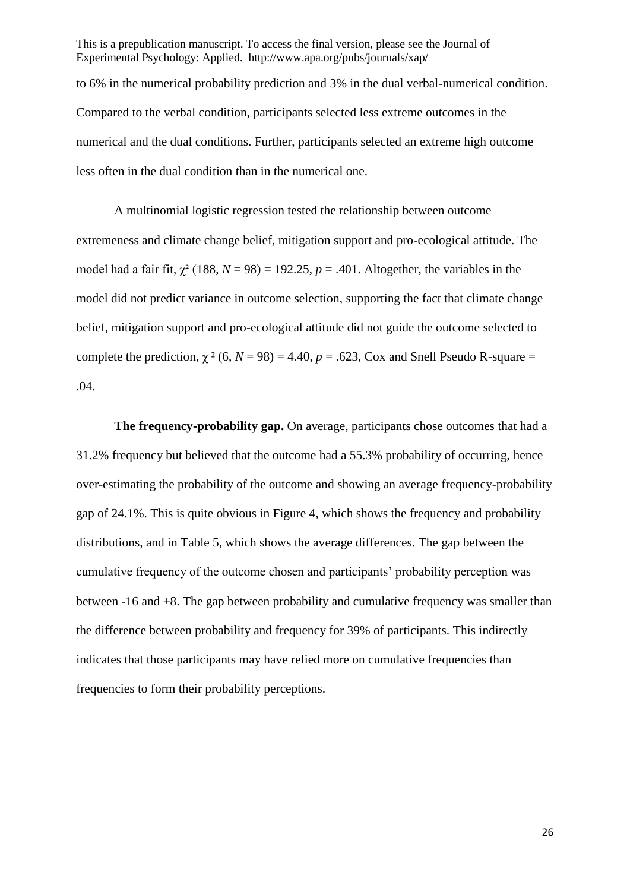This is a prepublication manuscript. To access the final version, please see the Journal of Experimental Psychology: Applied. http://www.apa.org/pubs/journals/xap/ to 6% in the numerical probability prediction and 3% in the dual verbal-numerical condition. Compared to the verbal condition, participants selected less extreme outcomes in the numerical and the dual conditions. Further, participants selected an extreme high outcome less often in the dual condition than in the numerical one.

A multinomial logistic regression tested the relationship between outcome extremeness and climate change belief, mitigation support and pro-ecological attitude. The model had a fair fit,  $\chi^2$  (188,  $N = 98$ ) = 192.25,  $p = .401$ . Altogether, the variables in the model did not predict variance in outcome selection, supporting the fact that climate change belief, mitigation support and pro-ecological attitude did not guide the outcome selected to complete the prediction,  $\chi^2$  (6, *N* = 98) = 4.40, *p* = .623, Cox and Snell Pseudo R-square = .04.

**The frequency-probability gap.** On average, participants chose outcomes that had a 31.2% frequency but believed that the outcome had a 55.3% probability of occurring, hence over-estimating the probability of the outcome and showing an average frequency-probability gap of 24.1%. This is quite obvious in Figure 4, which shows the frequency and probability distributions, and in Table 5, which shows the average differences. The gap between the cumulative frequency of the outcome chosen and participants' probability perception was between -16 and +8. The gap between probability and cumulative frequency was smaller than the difference between probability and frequency for 39% of participants. This indirectly indicates that those participants may have relied more on cumulative frequencies than frequencies to form their probability perceptions.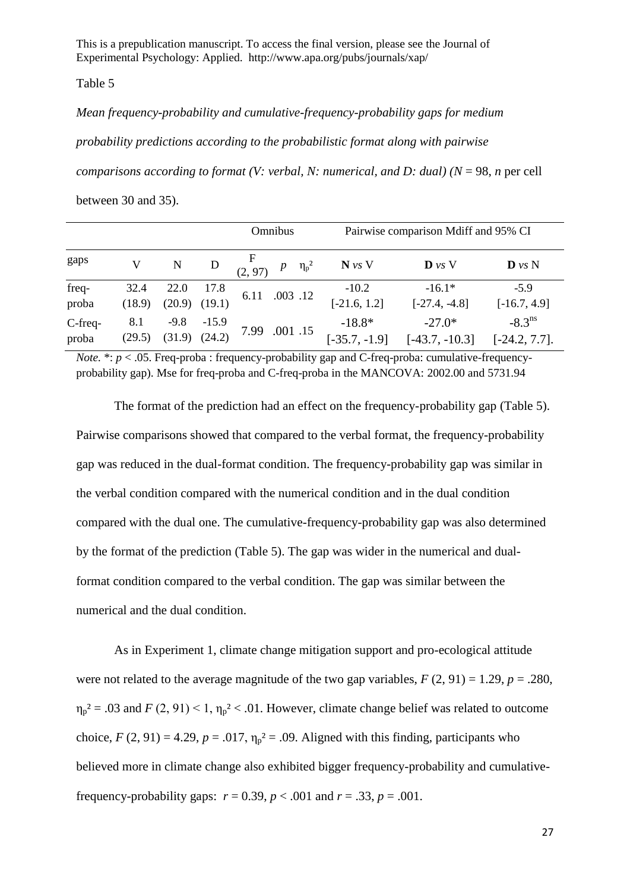Table 5

*Mean frequency-probability and cumulative-frequency-probability gaps for medium*

*probability predictions according to the probabilistic format along with pairwise* 

*comparisons according to format (V: verbal, N: numerical, and D: dual) (N* = 98, *n* per cell

between 30 and 35).

|                  |                |        |                              |                                 | Omnibus  | Pairwise comparison Mdiff and 95% CI |                              |                                        |
|------------------|----------------|--------|------------------------------|---------------------------------|----------|--------------------------------------|------------------------------|----------------------------------------|
| gaps             |                | N      | D                            | $\frac{F}{(2,97)}$ $p \eta_p^2$ |          | $N$ vs V                             | $\mathbf{D}$ vs V            | $\mathbf{D}$ vs $\mathbf{N}$           |
| freq-<br>proba   | 32.4<br>(18.9) | 22.0   | 17.8<br>$(20.9)$ $(19.1)$    | 6.11                            | .003 .12 | $-10.2$<br>$[-21.6, 1.2]$            | $-16.1*$<br>$[-27.4, -4.8]$  | $-5.9$<br>$[-16.7, 4.9]$               |
| C-freq-<br>proba | 8.1<br>(29.5)  | $-9.8$ | $-15.9$<br>$(31.9)$ $(24.2)$ | 7.99 .001 .15                   |          | $-18.8*$<br>$[-35.7, -1.9]$          | $-27.0*$<br>$[-43.7, -10.3]$ | $-8.3^{\text{ns}}$<br>$[-24.2, 7.7]$ . |

*Note.*  $* : p < .05$ . Freq-proba: frequency-probability gap and C-freq-proba: cumulative-frequencyprobability gap). Mse for freq-proba and C-freq-proba in the MANCOVA: 2002.00 and 5731.94

The format of the prediction had an effect on the frequency-probability gap (Table 5). Pairwise comparisons showed that compared to the verbal format, the frequency-probability gap was reduced in the dual-format condition. The frequency-probability gap was similar in the verbal condition compared with the numerical condition and in the dual condition compared with the dual one. The cumulative-frequency-probability gap was also determined by the format of the prediction (Table 5). The gap was wider in the numerical and dualformat condition compared to the verbal condition. The gap was similar between the numerical and the dual condition.

As in Experiment 1, climate change mitigation support and pro-ecological attitude were not related to the average magnitude of the two gap variables,  $F(2, 91) = 1.29$ ,  $p = .280$ .  $\eta_p^2 = .03$  and  $F(2, 91) < 1$ ,  $\eta_p^2 < .01$ . However, climate change belief was related to outcome choice,  $F(2, 91) = 4.29$ ,  $p = .017$ ,  $\eta_p^2 = .09$ . Aligned with this finding, participants who believed more in climate change also exhibited bigger frequency-probability and cumulativefrequency-probability gaps:  $r = 0.39$ ,  $p < .001$  and  $r = .33$ ,  $p = .001$ .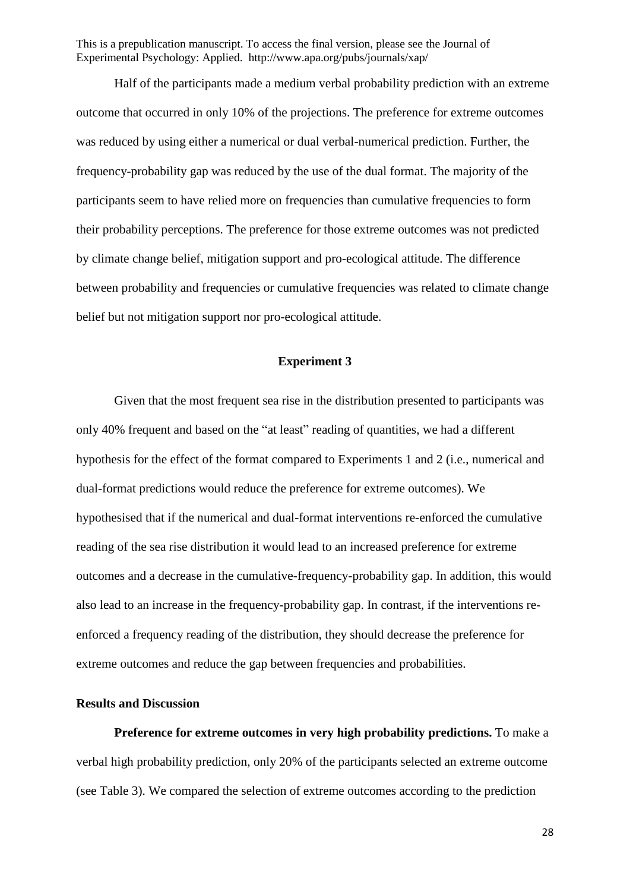Half of the participants made a medium verbal probability prediction with an extreme outcome that occurred in only 10% of the projections. The preference for extreme outcomes was reduced by using either a numerical or dual verbal-numerical prediction. Further, the frequency-probability gap was reduced by the use of the dual format. The majority of the participants seem to have relied more on frequencies than cumulative frequencies to form their probability perceptions. The preference for those extreme outcomes was not predicted by climate change belief, mitigation support and pro-ecological attitude. The difference between probability and frequencies or cumulative frequencies was related to climate change belief but not mitigation support nor pro-ecological attitude.

### **Experiment 3**

Given that the most frequent sea rise in the distribution presented to participants was only 40% frequent and based on the "at least" reading of quantities, we had a different hypothesis for the effect of the format compared to Experiments 1 and 2 (i.e., numerical and dual-format predictions would reduce the preference for extreme outcomes). We hypothesised that if the numerical and dual-format interventions re-enforced the cumulative reading of the sea rise distribution it would lead to an increased preference for extreme outcomes and a decrease in the cumulative-frequency-probability gap. In addition, this would also lead to an increase in the frequency-probability gap. In contrast, if the interventions reenforced a frequency reading of the distribution, they should decrease the preference for extreme outcomes and reduce the gap between frequencies and probabilities.

## **Results and Discussion**

**Preference for extreme outcomes in very high probability predictions.** To make a verbal high probability prediction, only 20% of the participants selected an extreme outcome (see Table 3). We compared the selection of extreme outcomes according to the prediction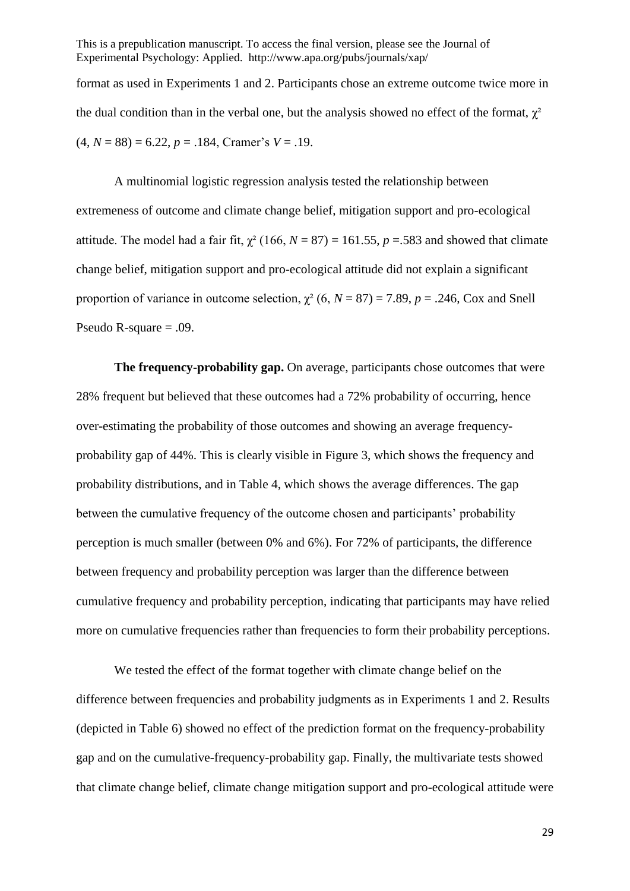format as used in Experiments 1 and 2. Participants chose an extreme outcome twice more in the dual condition than in the verbal one, but the analysis showed no effect of the format,  $\gamma^2$  $(4, N = 88) = 6.22, p = .184$ , Cramer's  $V = .19$ .

A multinomial logistic regression analysis tested the relationship between extremeness of outcome and climate change belief, mitigation support and pro-ecological attitude. The model had a fair fit,  $\chi^2$  (166, *N* = 87) = 161.55, *p* = 583 and showed that climate change belief, mitigation support and pro-ecological attitude did not explain a significant proportion of variance in outcome selection,  $\chi^2$  (6,  $N = 87$ ) = 7.89,  $p = .246$ , Cox and Snell Pseudo R-square = .09.

**The frequency-probability gap.** On average, participants chose outcomes that were 28% frequent but believed that these outcomes had a 72% probability of occurring, hence over-estimating the probability of those outcomes and showing an average frequencyprobability gap of 44%. This is clearly visible in Figure 3, which shows the frequency and probability distributions, and in Table 4, which shows the average differences. The gap between the cumulative frequency of the outcome chosen and participants' probability perception is much smaller (between 0% and 6%). For 72% of participants, the difference between frequency and probability perception was larger than the difference between cumulative frequency and probability perception, indicating that participants may have relied more on cumulative frequencies rather than frequencies to form their probability perceptions.

We tested the effect of the format together with climate change belief on the difference between frequencies and probability judgments as in Experiments 1 and 2. Results (depicted in Table 6) showed no effect of the prediction format on the frequency-probability gap and on the cumulative-frequency-probability gap. Finally, the multivariate tests showed that climate change belief, climate change mitigation support and pro-ecological attitude were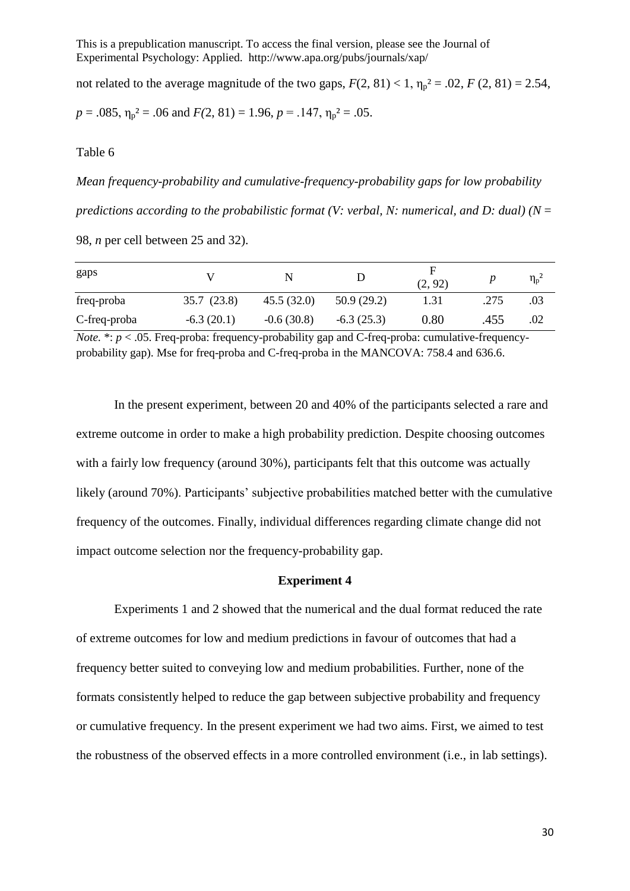not related to the average magnitude of the two gaps,  $F(2, 81) < 1$ ,  $\eta_p^2 = .02$ ,  $F(2, 81) = 2.54$ ,

$$
p = .085
$$
,  $\eta_p^2 = .06$  and  $F(2, 81) = 1.96$ ,  $p = .147$ ,  $\eta_p^2 = .05$ .

Table 6

*Mean frequency-probability and cumulative-frequency-probability gaps for low probability predictions according to the probabilistic format (V: verbal, N: numerical, and D: dual) (N* = 98, *n* per cell between 25 and 32).

| gaps         |              | N            |              | н<br>(2, 92) |      | $\eta_{\rm p}^{\ \ 2}$ |
|--------------|--------------|--------------|--------------|--------------|------|------------------------|
| freq-proba   | 35.7 (23.8)  | 45.5(32.0)   | 50.9(29.2)   | 1.31         | .275 | .03                    |
| C-freq-proba | $-6.3(20.1)$ | $-0.6(30.8)$ | $-6.3(25.3)$ | $0.80\,$     | .455 | .02                    |

*Note.*  $* : p < .05$ . Freq-proba: frequency-probability gap and C-freq-proba: cumulative-frequencyprobability gap). Mse for freq-proba and C-freq-proba in the MANCOVA: 758.4 and 636.6.

In the present experiment, between 20 and 40% of the participants selected a rare and extreme outcome in order to make a high probability prediction. Despite choosing outcomes with a fairly low frequency (around 30%), participants felt that this outcome was actually likely (around 70%). Participants' subjective probabilities matched better with the cumulative frequency of the outcomes. Finally, individual differences regarding climate change did not impact outcome selection nor the frequency-probability gap.

### **Experiment 4**

Experiments 1 and 2 showed that the numerical and the dual format reduced the rate of extreme outcomes for low and medium predictions in favour of outcomes that had a frequency better suited to conveying low and medium probabilities. Further, none of the formats consistently helped to reduce the gap between subjective probability and frequency or cumulative frequency. In the present experiment we had two aims. First, we aimed to test the robustness of the observed effects in a more controlled environment (i.e., in lab settings).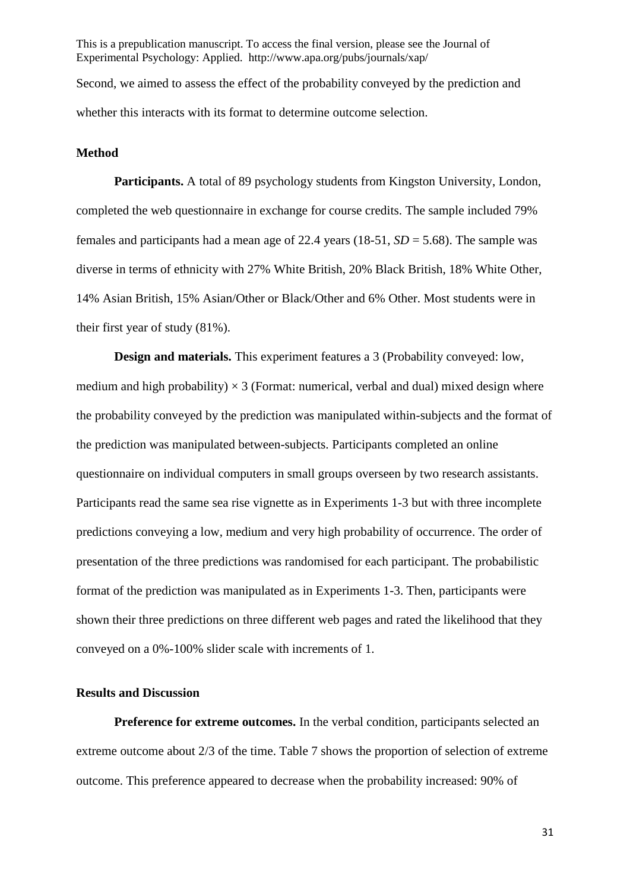This is a prepublication manuscript. To access the final version, please see the Journal of Experimental Psychology: Applied. http://www.apa.org/pubs/journals/xap/ Second, we aimed to assess the effect of the probability conveyed by the prediction and

whether this interacts with its format to determine outcome selection.

#### **Method**

**Participants.** A total of 89 psychology students from Kingston University, London, completed the web questionnaire in exchange for course credits. The sample included 79% females and participants had a mean age of 22.4 years  $(18-51, SD = 5.68)$ . The sample was diverse in terms of ethnicity with 27% White British, 20% Black British, 18% White Other, 14% Asian British, 15% Asian/Other or Black/Other and 6% Other. Most students were in their first year of study (81%).

**Design and materials.** This experiment features a 3 (Probability conveyed: low, medium and high probability)  $\times$  3 (Format: numerical, verbal and dual) mixed design where the probability conveyed by the prediction was manipulated within-subjects and the format of the prediction was manipulated between-subjects. Participants completed an online questionnaire on individual computers in small groups overseen by two research assistants. Participants read the same sea rise vignette as in Experiments 1-3 but with three incomplete predictions conveying a low, medium and very high probability of occurrence. The order of presentation of the three predictions was randomised for each participant. The probabilistic format of the prediction was manipulated as in Experiments 1-3. Then, participants were shown their three predictions on three different web pages and rated the likelihood that they conveyed on a 0%-100% slider scale with increments of 1.

# **Results and Discussion**

**Preference for extreme outcomes.** In the verbal condition, participants selected an extreme outcome about 2/3 of the time. Table 7 shows the proportion of selection of extreme outcome. This preference appeared to decrease when the probability increased: 90% of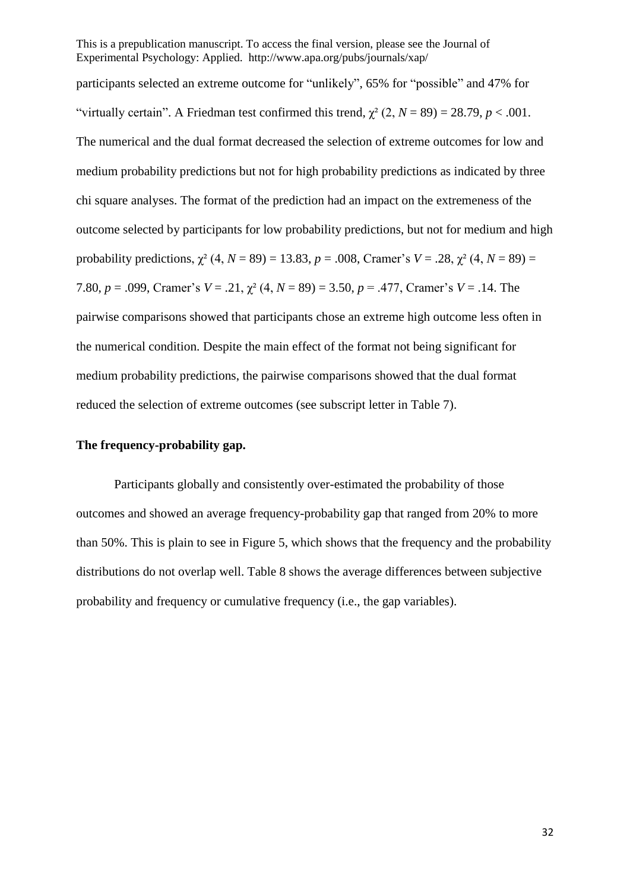participants selected an extreme outcome for "unlikely", 65% for "possible" and 47% for "virtually certain". A Friedman test confirmed this trend,  $\gamma^2$  (2,  $N = 89$ ) = 28.79, *p* < .001. The numerical and the dual format decreased the selection of extreme outcomes for low and medium probability predictions but not for high probability predictions as indicated by three chi square analyses. The format of the prediction had an impact on the extremeness of the outcome selected by participants for low probability predictions, but not for medium and high probability predictions,  $\chi^2$  (4, *N* = 89) = 13.83, *p* = .008, Cramer's *V* = .28,  $\chi^2$  (4, *N* = 89) = 7.80, *p* = .099, Cramer's *V* = .21, χ² (4, *N* = 89) = 3.50, *p* = .477, Cramer's *V* = .14. The pairwise comparisons showed that participants chose an extreme high outcome less often in the numerical condition. Despite the main effect of the format not being significant for medium probability predictions, the pairwise comparisons showed that the dual format reduced the selection of extreme outcomes (see subscript letter in Table 7).

### **The frequency-probability gap.**

Participants globally and consistently over-estimated the probability of those outcomes and showed an average frequency-probability gap that ranged from 20% to more than 50%. This is plain to see in Figure 5, which shows that the frequency and the probability distributions do not overlap well. Table 8 shows the average differences between subjective probability and frequency or cumulative frequency (i.e., the gap variables).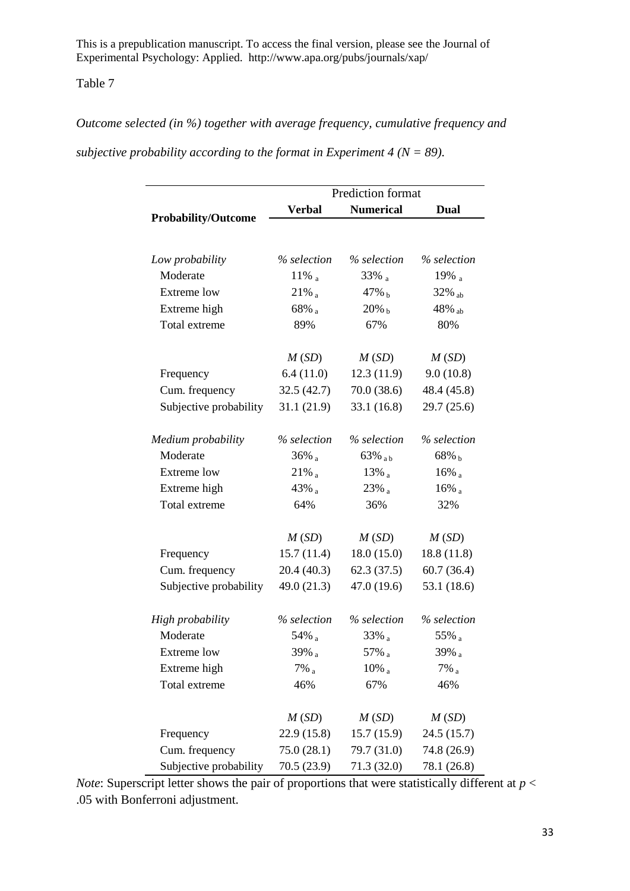# Table 7

*Outcome selected (in %) together with average frequency, cumulative frequency and* 

*subjective probability according to the format in Experiment 4 (* $N = 89$ *).* 

|                            | Prediction format   |                      |                      |  |  |  |  |  |
|----------------------------|---------------------|----------------------|----------------------|--|--|--|--|--|
|                            | <b>Verbal</b>       | <b>Numerical</b>     | Dual                 |  |  |  |  |  |
| <b>Probability/Outcome</b> |                     |                      |                      |  |  |  |  |  |
|                            |                     |                      |                      |  |  |  |  |  |
| Low probability            | % selection         | % selection          | % selection          |  |  |  |  |  |
| Moderate                   | $11\%$ <sub>a</sub> | $33\%$ a             | 19% $_{a}$           |  |  |  |  |  |
| <b>Extreme</b> low         | $21\%$ <sub>a</sub> | 47% b                | $32\%$ <sub>ab</sub> |  |  |  |  |  |
| Extreme high               | $68\%$ a            | $20\%$ b             | 48% ab               |  |  |  |  |  |
| Total extreme              | 89%                 | 67%                  | 80%                  |  |  |  |  |  |
|                            | M(SD)               | M(SD)                | M(SD)                |  |  |  |  |  |
| Frequency                  | 6.4(11.0)           | 12.3(11.9)           | 9.0(10.8)            |  |  |  |  |  |
| Cum. frequency             | 32.5(42.7)          | 70.0(38.6)           | 48.4 (45.8)          |  |  |  |  |  |
| Subjective probability     | 31.1(21.9)          | 33.1(16.8)           | 29.7(25.6)           |  |  |  |  |  |
| Medium probability         | % selection         | % selection          | % selection          |  |  |  |  |  |
| Moderate                   | $36\%$ <sub>a</sub> | $63\%$ <sub>ab</sub> | $68\%$ b             |  |  |  |  |  |
| <b>Extreme</b> low         | $21\%$ <sub>a</sub> | $13\%$               | $16\%$ <sub>a</sub>  |  |  |  |  |  |
| Extreme high               | 43% a               | $23\%$ a             | $16\%$ <sub>a</sub>  |  |  |  |  |  |
| Total extreme              | 64%                 | 36%                  | 32%                  |  |  |  |  |  |
|                            | M(SD)               | M(SD)                | M(SD)                |  |  |  |  |  |
| Frequency                  | 15.7(11.4)          | 18.0(15.0)           | 18.8(11.8)           |  |  |  |  |  |
| Cum. frequency             | 20.4(40.3)          | 62.3(37.5)           | 60.7(36.4)           |  |  |  |  |  |
| Subjective probability     | 49.0 (21.3)         | 47.0 (19.6)          | 53.1 (18.6)          |  |  |  |  |  |
| High probability           | % selection         | % selection          | % selection          |  |  |  |  |  |
| Moderate                   | 54% a               | $33\%$ <sub>a</sub>  | 55% a                |  |  |  |  |  |
| Extreme low                | $39\%$ <sub>a</sub> | 57% $_a$             | 39% a                |  |  |  |  |  |
| Extreme high               | $7\%$ <sub>a</sub>  | $10\%$ <sub>a</sub>  | $7\%$ <sub>a</sub>   |  |  |  |  |  |
| Total extreme              |                     |                      |                      |  |  |  |  |  |
|                            | 46%                 | 67%                  | 46%                  |  |  |  |  |  |
|                            | M(SD)               | M(SD)                | M(SD)                |  |  |  |  |  |
| Frequency                  | 22.9(15.8)          | 15.7(15.9)           | 24.5 (15.7)          |  |  |  |  |  |
| Cum. frequency             | 75.0(28.1)          | 79.7 (31.0)          | 74.8 (26.9)          |  |  |  |  |  |
| Subjective probability     | 70.5(23.9)          | 71.3 (32.0)          | 78.1 (26.8)          |  |  |  |  |  |

*Note*: Superscript letter shows the pair of proportions that were statistically different at  $p <$ .05 with Bonferroni adjustment.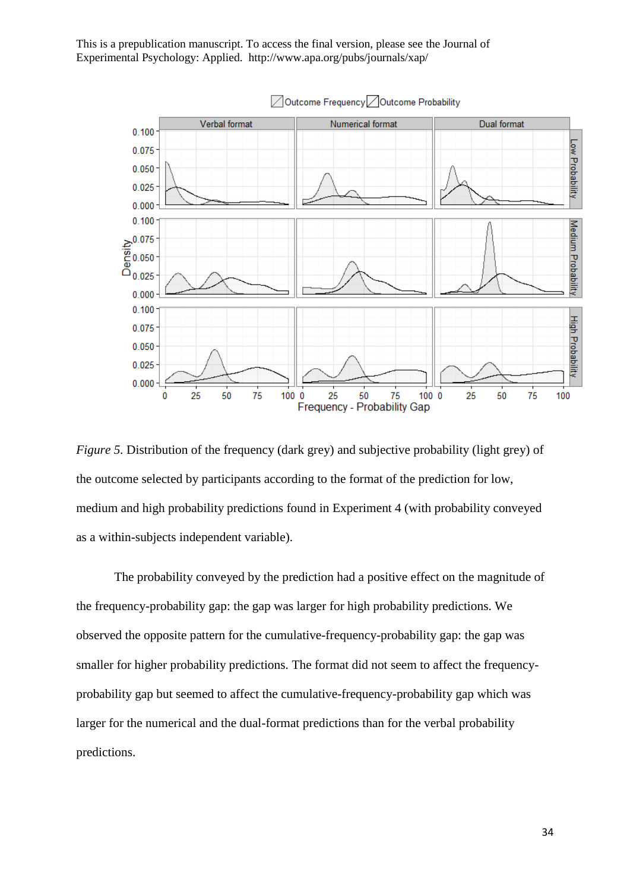

*Figure 5.* Distribution of the frequency (dark grey) and subjective probability (light grey) of the outcome selected by participants according to the format of the prediction for low, medium and high probability predictions found in Experiment 4 (with probability conveyed as a within-subjects independent variable).

The probability conveyed by the prediction had a positive effect on the magnitude of the frequency-probability gap: the gap was larger for high probability predictions. We observed the opposite pattern for the cumulative-frequency-probability gap: the gap was smaller for higher probability predictions. The format did not seem to affect the frequencyprobability gap but seemed to affect the cumulative-frequency-probability gap which was larger for the numerical and the dual-format predictions than for the verbal probability predictions.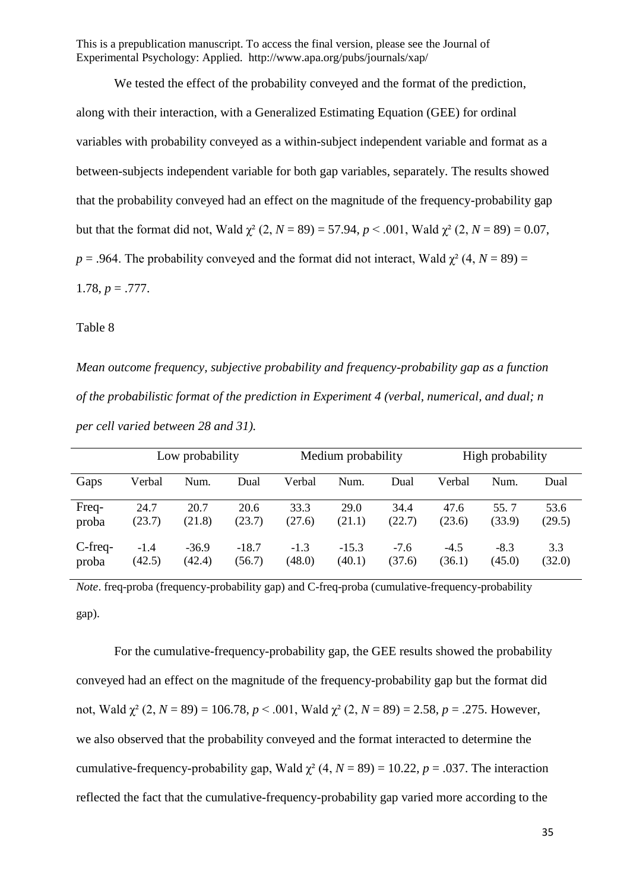We tested the effect of the probability conveyed and the format of the prediction, along with their interaction, with a Generalized Estimating Equation (GEE) for ordinal variables with probability conveyed as a within-subject independent variable and format as a between-subjects independent variable for both gap variables, separately. The results showed that the probability conveyed had an effect on the magnitude of the frequency-probability gap but that the format did not, Wald  $\chi^2$  (2, *N* = 89) = 57.94, *p* < .001, Wald  $\chi^2$  (2, *N* = 89) = 0.07,  $p = .964$ . The probability conveyed and the format did not interact, Wald  $\gamma^2$  (4,  $N = 89$ ) = 1.78,  $p = .777$ .

#### Table 8

*Mean outcome frequency, subjective probability and frequency-probability gap as a function of the probabilistic format of the prediction in Experiment 4 (verbal, numerical, and dual; n per cell varied between 28 and 31).* 

|            | Low probability |         |         |        | Medium probability |        | High probability |        |        |
|------------|-----------------|---------|---------|--------|--------------------|--------|------------------|--------|--------|
| Gaps       | Verbal          | Num.    | Dual    | Verbal | Num.               | Dual   | Verbal           | Num.   | Dual   |
| Freq-      | 24.7            | 20.7    | 20.6    | 33.3   | <b>29.0</b>        | 34.4   | 47.6             | 55.7   | 53.6   |
| proba      | (23.7)          | (21.8)  | (23.7)  | (27.6) | (21.1)             | (22.7) | (23.6)           | (33.9) | (29.5) |
| $C$ -freq- | $-1.4$          | $-36.9$ | $-18.7$ | $-1.3$ | $-15.3$            | $-7.6$ | $-4.5$           | $-8.3$ | 3.3    |
| proba      | (42.5)          | (42.4)  | (56.7)  | (48.0) | (40.1)             | (37.6) | (36.1)           | (45.0) | (32.0) |

*Note*. freq-proba (frequency-probability gap) and C-freq-proba (cumulative-frequency-probability gap).

For the cumulative-frequency-probability gap, the GEE results showed the probability conveyed had an effect on the magnitude of the frequency-probability gap but the format did not, Wald  $χ²$  (2,  $N = 89$ ) = 106.78,  $p < .001$ , Wald  $χ²$  (2,  $N = 89$ ) = 2.58,  $p = .275$ . However, we also observed that the probability conveyed and the format interacted to determine the cumulative-frequency-probability gap, Wald  $\chi^2$  (4, *N* = 89) = 10.22, *p* = .037. The interaction reflected the fact that the cumulative-frequency-probability gap varied more according to the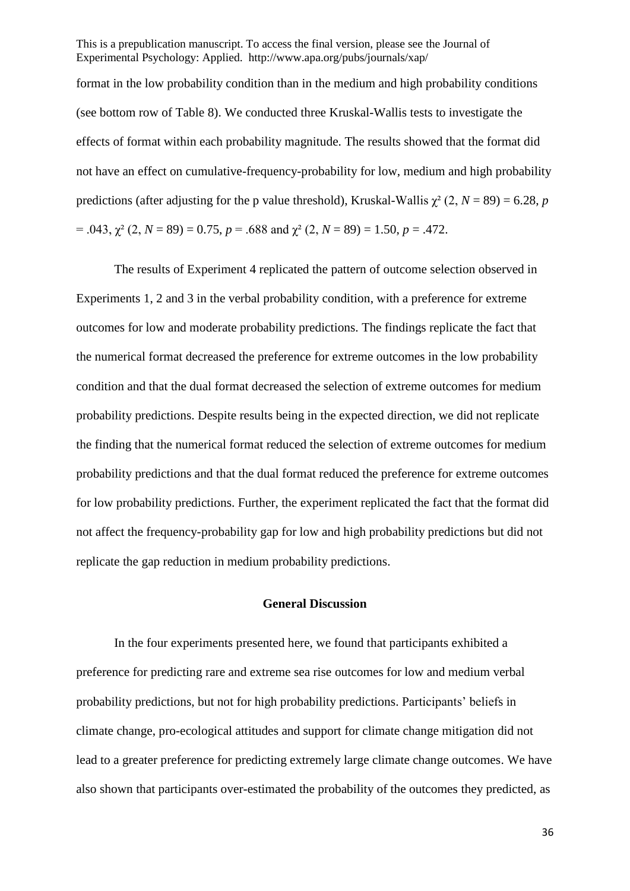format in the low probability condition than in the medium and high probability conditions (see bottom row of Table 8). We conducted three Kruskal-Wallis tests to investigate the effects of format within each probability magnitude. The results showed that the format did not have an effect on cumulative-frequency-probability for low, medium and high probability predictions (after adjusting for the p value threshold), Kruskal-Wallis  $\chi^2$  (2, *N* = 89) = 6.28, *p*  $= .043$ ,  $\chi^2$  (2, *N* = 89) = 0.75, *p* = .688 and  $\chi^2$  (2, *N* = 89) = 1.50, *p* = .472.

The results of Experiment 4 replicated the pattern of outcome selection observed in Experiments 1, 2 and 3 in the verbal probability condition, with a preference for extreme outcomes for low and moderate probability predictions. The findings replicate the fact that the numerical format decreased the preference for extreme outcomes in the low probability condition and that the dual format decreased the selection of extreme outcomes for medium probability predictions. Despite results being in the expected direction, we did not replicate the finding that the numerical format reduced the selection of extreme outcomes for medium probability predictions and that the dual format reduced the preference for extreme outcomes for low probability predictions. Further, the experiment replicated the fact that the format did not affect the frequency-probability gap for low and high probability predictions but did not replicate the gap reduction in medium probability predictions.

#### **General Discussion**

In the four experiments presented here, we found that participants exhibited a preference for predicting rare and extreme sea rise outcomes for low and medium verbal probability predictions, but not for high probability predictions. Participants' beliefs in climate change, pro-ecological attitudes and support for climate change mitigation did not lead to a greater preference for predicting extremely large climate change outcomes. We have also shown that participants over-estimated the probability of the outcomes they predicted, as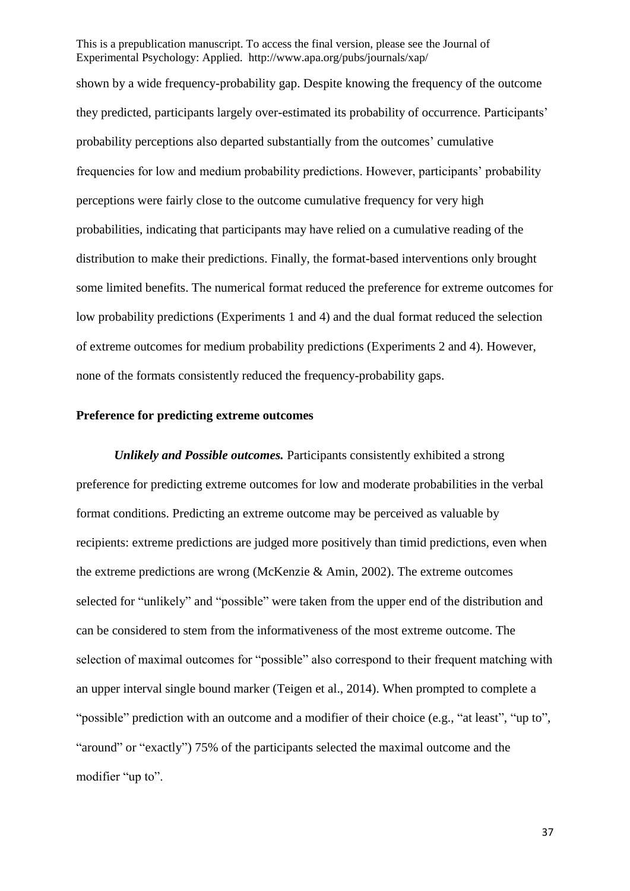shown by a wide frequency-probability gap. Despite knowing the frequency of the outcome they predicted, participants largely over-estimated its probability of occurrence. Participants' probability perceptions also departed substantially from the outcomes' cumulative frequencies for low and medium probability predictions. However, participants' probability perceptions were fairly close to the outcome cumulative frequency for very high probabilities, indicating that participants may have relied on a cumulative reading of the distribution to make their predictions. Finally, the format-based interventions only brought some limited benefits. The numerical format reduced the preference for extreme outcomes for low probability predictions (Experiments 1 and 4) and the dual format reduced the selection of extreme outcomes for medium probability predictions (Experiments 2 and 4). However, none of the formats consistently reduced the frequency-probability gaps.

# **Preference for predicting extreme outcomes**

*Unlikely and Possible outcomes.* Participants consistently exhibited a strong preference for predicting extreme outcomes for low and moderate probabilities in the verbal format conditions. Predicting an extreme outcome may be perceived as valuable by recipients: extreme predictions are judged more positively than timid predictions, even when the extreme predictions are wrong (McKenzie & Amin, 2002). The extreme outcomes selected for "unlikely" and "possible" were taken from the upper end of the distribution and can be considered to stem from the informativeness of the most extreme outcome. The selection of maximal outcomes for "possible" also correspond to their frequent matching with an upper interval single bound marker (Teigen et al., 2014). When prompted to complete a "possible" prediction with an outcome and a modifier of their choice (e.g., "at least", "up to", "around" or "exactly") 75% of the participants selected the maximal outcome and the modifier "up to".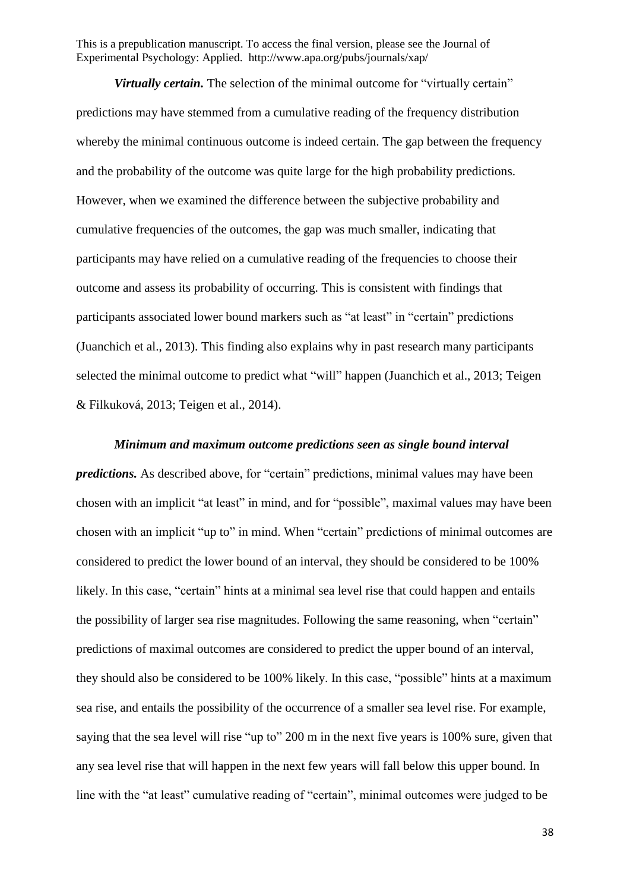*Virtually certain.* The selection of the minimal outcome for "virtually certain" predictions may have stemmed from a cumulative reading of the frequency distribution whereby the minimal continuous outcome is indeed certain. The gap between the frequency and the probability of the outcome was quite large for the high probability predictions. However, when we examined the difference between the subjective probability and cumulative frequencies of the outcomes, the gap was much smaller, indicating that participants may have relied on a cumulative reading of the frequencies to choose their outcome and assess its probability of occurring. This is consistent with findings that participants associated lower bound markers such as "at least" in "certain" predictions (Juanchich et al., 2013). This finding also explains why in past research many participants selected the minimal outcome to predict what "will" happen (Juanchich et al., 2013; Teigen & Filkuková, 2013; Teigen et al., 2014).

*Minimum and maximum outcome predictions seen as single bound interval predictions.* As described above, for "certain" predictions, minimal values may have been chosen with an implicit "at least" in mind, and for "possible", maximal values may have been chosen with an implicit "up to" in mind. When "certain" predictions of minimal outcomes are considered to predict the lower bound of an interval, they should be considered to be 100% likely. In this case, "certain" hints at a minimal sea level rise that could happen and entails the possibility of larger sea rise magnitudes. Following the same reasoning, when "certain" predictions of maximal outcomes are considered to predict the upper bound of an interval, they should also be considered to be 100% likely. In this case, "possible" hints at a maximum sea rise, and entails the possibility of the occurrence of a smaller sea level rise. For example, saying that the sea level will rise "up to" 200 m in the next five years is 100% sure, given that any sea level rise that will happen in the next few years will fall below this upper bound. In line with the "at least" cumulative reading of "certain", minimal outcomes were judged to be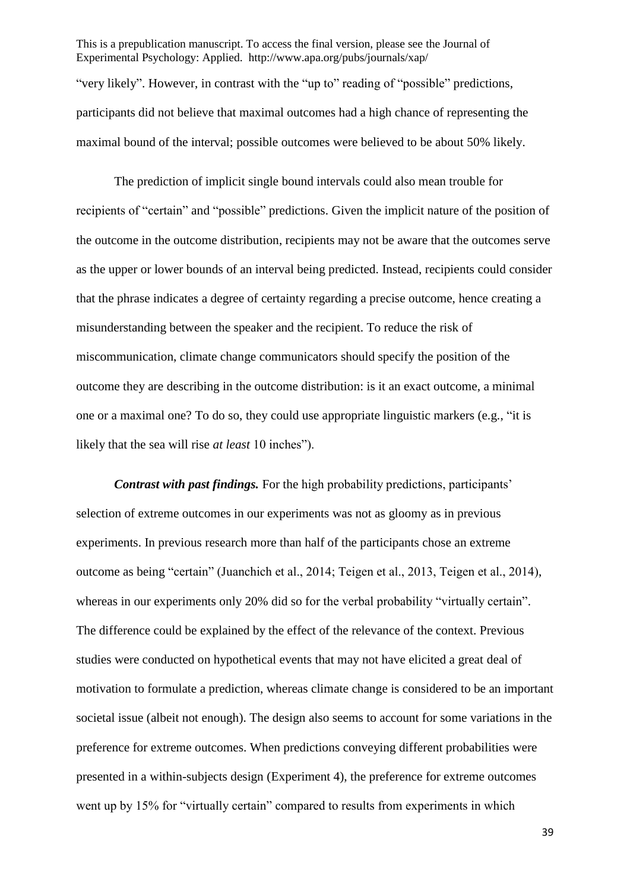This is a prepublication manuscript. To access the final version, please see the Journal of Experimental Psychology: Applied. http://www.apa.org/pubs/journals/xap/ "very likely". However, in contrast with the "up to" reading of "possible" predictions, participants did not believe that maximal outcomes had a high chance of representing the maximal bound of the interval; possible outcomes were believed to be about 50% likely.

The prediction of implicit single bound intervals could also mean trouble for recipients of "certain" and "possible" predictions. Given the implicit nature of the position of the outcome in the outcome distribution, recipients may not be aware that the outcomes serve as the upper or lower bounds of an interval being predicted. Instead, recipients could consider that the phrase indicates a degree of certainty regarding a precise outcome, hence creating a misunderstanding between the speaker and the recipient. To reduce the risk of miscommunication, climate change communicators should specify the position of the outcome they are describing in the outcome distribution: is it an exact outcome, a minimal one or a maximal one? To do so, they could use appropriate linguistic markers (e.g., "it is likely that the sea will rise *at least* 10 inches").

*Contrast with past findings.* For the high probability predictions, participants' selection of extreme outcomes in our experiments was not as gloomy as in previous experiments. In previous research more than half of the participants chose an extreme outcome as being "certain" (Juanchich et al., 2014; Teigen et al., 2013, Teigen et al., 2014), whereas in our experiments only 20% did so for the verbal probability "virtually certain". The difference could be explained by the effect of the relevance of the context. Previous studies were conducted on hypothetical events that may not have elicited a great deal of motivation to formulate a prediction, whereas climate change is considered to be an important societal issue (albeit not enough). The design also seems to account for some variations in the preference for extreme outcomes. When predictions conveying different probabilities were presented in a within-subjects design (Experiment 4), the preference for extreme outcomes went up by 15% for "virtually certain" compared to results from experiments in which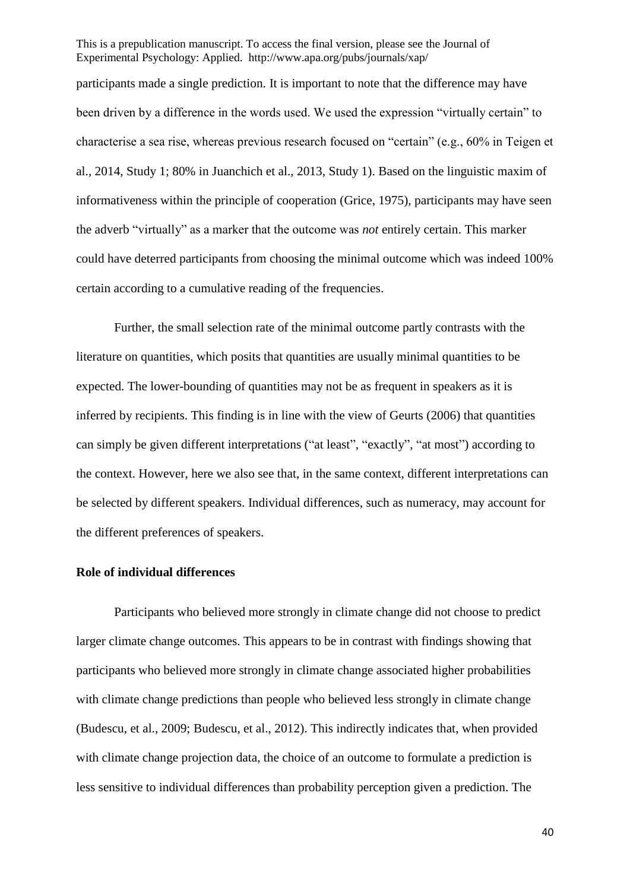participants made a single prediction. It is important to note that the difference may have been driven by a difference in the words used. We used the expression "virtually certain" to characterise a sea rise, whereas previous research focused on "certain" (e.g., 60% in Teigen et al., 2014, Study 1; 80% in Juanchich et al., 2013, Study 1). Based on the linguistic maxim of informativeness within the principle of cooperation (Grice, 1975), participants may have seen the adverb "virtually" as a marker that the outcome was *not* entirely certain. This marker could have deterred participants from choosing the minimal outcome which was indeed 100% certain according to a cumulative reading of the frequencies.

Further, the small selection rate of the minimal outcome partly contrasts with the literature on quantities, which posits that quantities are usually minimal quantities to be expected. The lower-bounding of quantities may not be as frequent in speakers as it is inferred by recipients. This finding is in line with the view of Geurts (2006) that quantities can simply be given different interpretations ("at least", "exactly", "at most") according to the context. However, here we also see that, in the same context, different interpretations can be selected by different speakers. Individual differences, such as numeracy, may account for the different preferences of speakers.

### **Role of individual differences**

Participants who believed more strongly in climate change did not choose to predict larger climate change outcomes. This appears to be in contrast with findings showing that participants who believed more strongly in climate change associated higher probabilities with climate change predictions than people who believed less strongly in climate change (Budescu, et al., 2009; Budescu, et al., 2012). This indirectly indicates that, when provided with climate change projection data, the choice of an outcome to formulate a prediction is less sensitive to individual differences than probability perception given a prediction. The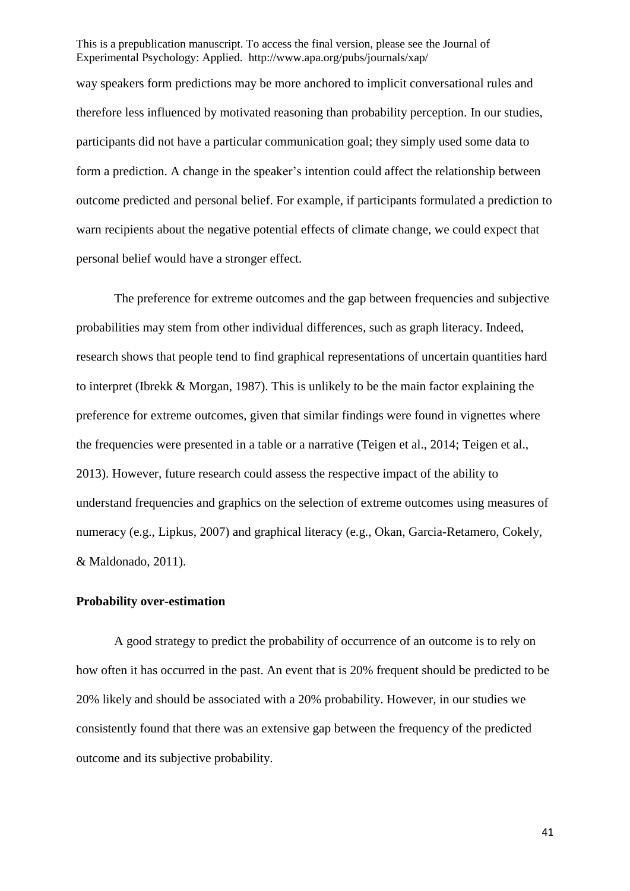way speakers form predictions may be more anchored to implicit conversational rules and therefore less influenced by motivated reasoning than probability perception. In our studies, participants did not have a particular communication goal; they simply used some data to form a prediction. A change in the speaker's intention could affect the relationship between outcome predicted and personal belief. For example, if participants formulated a prediction to warn recipients about the negative potential effects of climate change, we could expect that personal belief would have a stronger effect.

The preference for extreme outcomes and the gap between frequencies and subjective probabilities may stem from other individual differences, such as graph literacy. Indeed, research shows that people tend to find graphical representations of uncertain quantities hard to interpret (Ibrekk & Morgan, 1987). This is unlikely to be the main factor explaining the preference for extreme outcomes, given that similar findings were found in vignettes where the frequencies were presented in a table or a narrative (Teigen et al., 2014; Teigen et al., 2013). However, future research could assess the respective impact of the ability to understand frequencies and graphics on the selection of extreme outcomes using measures of numeracy (e.g., Lipkus, 2007) and graphical literacy (e.g., Okan, Garcia-Retamero, Cokely, & Maldonado, 2011).

# **Probability over-estimation**

A good strategy to predict the probability of occurrence of an outcome is to rely on how often it has occurred in the past. An event that is 20% frequent should be predicted to be 20% likely and should be associated with a 20% probability. However, in our studies we consistently found that there was an extensive gap between the frequency of the predicted outcome and its subjective probability.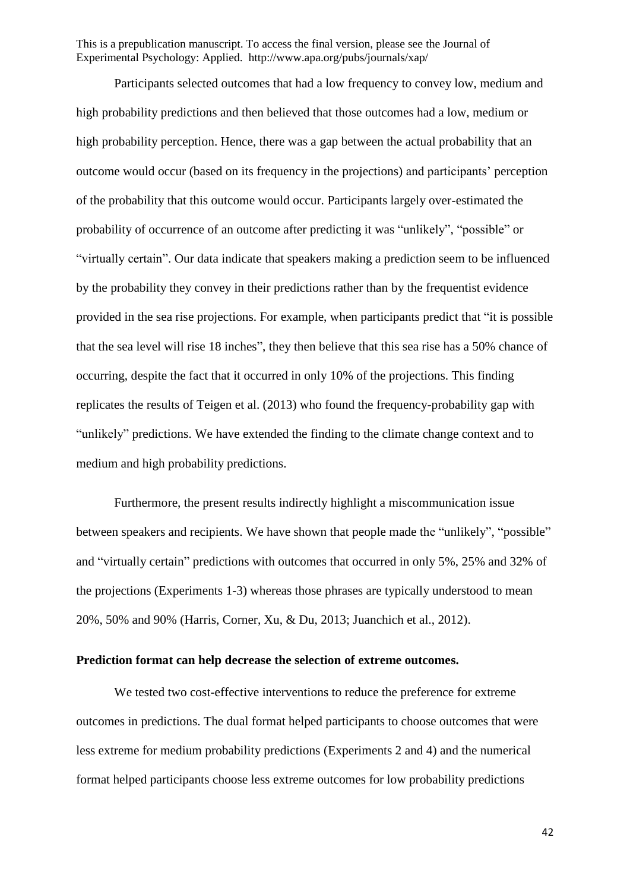Participants selected outcomes that had a low frequency to convey low, medium and high probability predictions and then believed that those outcomes had a low, medium or high probability perception. Hence, there was a gap between the actual probability that an outcome would occur (based on its frequency in the projections) and participants' perception of the probability that this outcome would occur. Participants largely over-estimated the probability of occurrence of an outcome after predicting it was "unlikely", "possible" or "virtually certain". Our data indicate that speakers making a prediction seem to be influenced by the probability they convey in their predictions rather than by the frequentist evidence provided in the sea rise projections. For example, when participants predict that "it is possible that the sea level will rise 18 inches", they then believe that this sea rise has a 50% chance of occurring, despite the fact that it occurred in only 10% of the projections. This finding replicates the results of Teigen et al. (2013) who found the frequency-probability gap with "unlikely" predictions. We have extended the finding to the climate change context and to medium and high probability predictions.

Furthermore, the present results indirectly highlight a miscommunication issue between speakers and recipients. We have shown that people made the "unlikely", "possible" and "virtually certain" predictions with outcomes that occurred in only 5%, 25% and 32% of the projections (Experiments 1-3) whereas those phrases are typically understood to mean 20%, 50% and 90% (Harris, Corner, Xu, & Du, 2013; Juanchich et al., 2012).

# **Prediction format can help decrease the selection of extreme outcomes.**

We tested two cost-effective interventions to reduce the preference for extreme outcomes in predictions. The dual format helped participants to choose outcomes that were less extreme for medium probability predictions (Experiments 2 and 4) and the numerical format helped participants choose less extreme outcomes for low probability predictions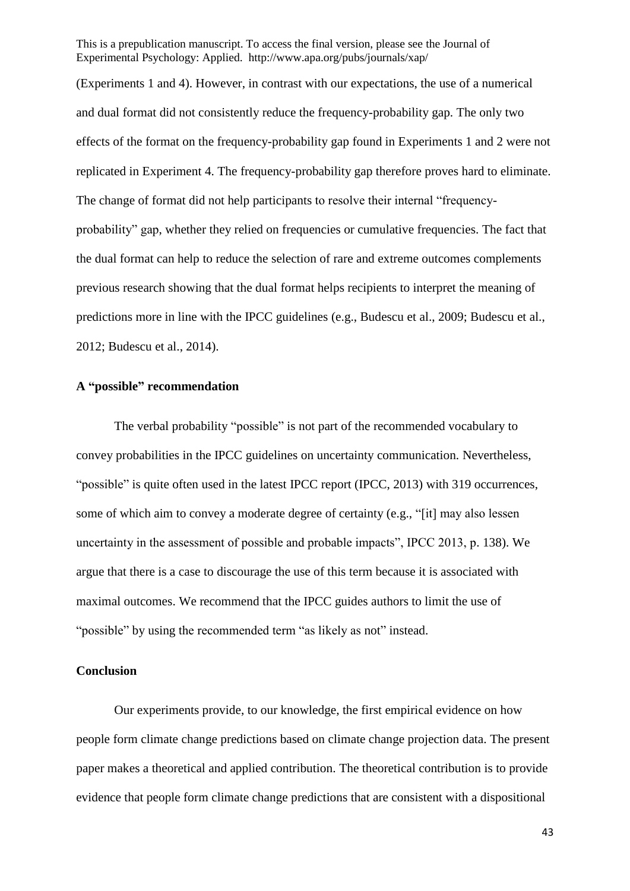(Experiments 1 and 4). However, in contrast with our expectations, the use of a numerical and dual format did not consistently reduce the frequency-probability gap. The only two effects of the format on the frequency-probability gap found in Experiments 1 and 2 were not replicated in Experiment 4. The frequency-probability gap therefore proves hard to eliminate. The change of format did not help participants to resolve their internal "frequencyprobability" gap, whether they relied on frequencies or cumulative frequencies. The fact that the dual format can help to reduce the selection of rare and extreme outcomes complements previous research showing that the dual format helps recipients to interpret the meaning of predictions more in line with the IPCC guidelines (e.g., Budescu et al., 2009; Budescu et al., 2012; Budescu et al., 2014).

### **A "possible" recommendation**

The verbal probability "possible" is not part of the recommended vocabulary to convey probabilities in the IPCC guidelines on uncertainty communication. Nevertheless, "possible" is quite often used in the latest IPCC report (IPCC, 2013) with 319 occurrences, some of which aim to convey a moderate degree of certainty (e.g., "[it] may also lessen uncertainty in the assessment of possible and probable impacts", IPCC 2013, p. 138). We argue that there is a case to discourage the use of this term because it is associated with maximal outcomes. We recommend that the IPCC guides authors to limit the use of "possible" by using the recommended term "as likely as not" instead.

### **Conclusion**

Our experiments provide, to our knowledge, the first empirical evidence on how people form climate change predictions based on climate change projection data. The present paper makes a theoretical and applied contribution. The theoretical contribution is to provide evidence that people form climate change predictions that are consistent with a dispositional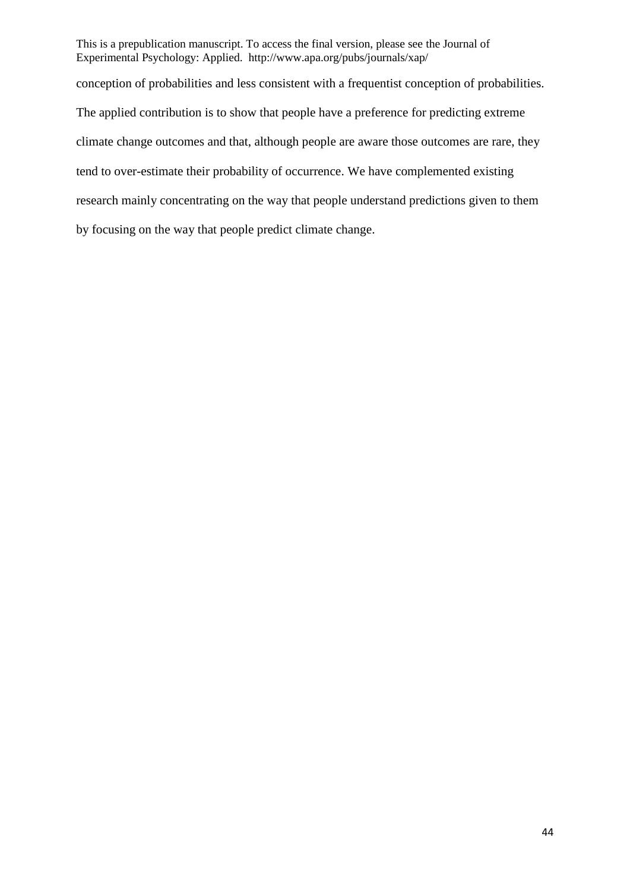conception of probabilities and less consistent with a frequentist conception of probabilities. The applied contribution is to show that people have a preference for predicting extreme climate change outcomes and that, although people are aware those outcomes are rare, they tend to over-estimate their probability of occurrence. We have complemented existing research mainly concentrating on the way that people understand predictions given to them by focusing on the way that people predict climate change.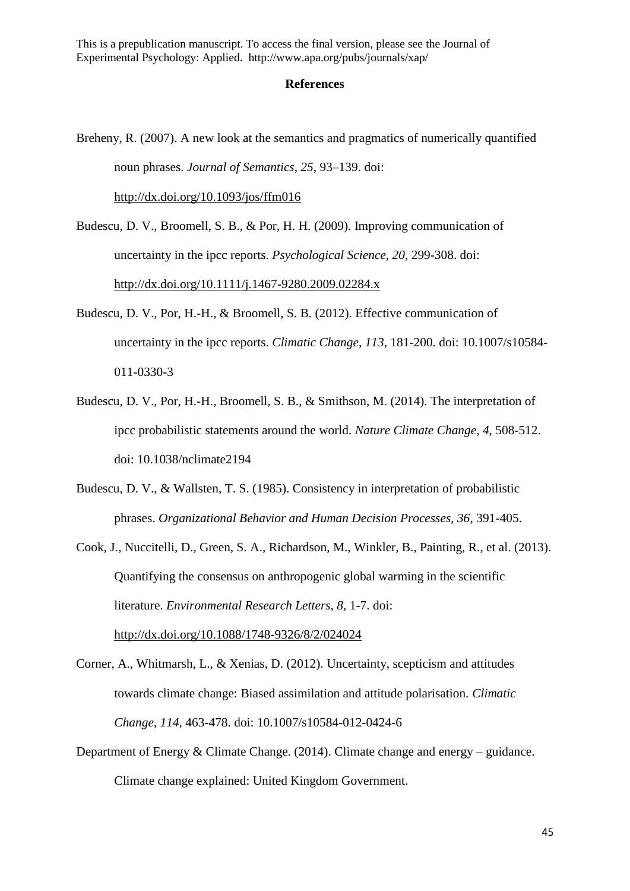#### **References**

- Breheny, R. (2007). A new look at the semantics and pragmatics of numerically quantified noun phrases. *Journal of Semantics, 25*, 93–139. doi: <http://dx.doi.org/10.1093/jos/ffm016>
- Budescu, D. V., Broomell, S. B., & Por, H. H. (2009). Improving communication of uncertainty in the ipcc reports. *Psychological Science, 20*, 299-308. doi: <http://dx.doi.org/10.1111/j.1467-9280.2009.02284.x>
- Budescu, D. V., Por, H.-H., & Broomell, S. B. (2012). Effective communication of uncertainty in the ipcc reports. *Climatic Change, 113*, 181-200. doi: 10.1007/s10584- 011-0330-3
- Budescu, D. V., Por, H.-H., Broomell, S. B., & Smithson, M. (2014). The interpretation of ipcc probabilistic statements around the world. *Nature Climate Change, 4*, 508-512. doi: 10.1038/nclimate2194
- Budescu, D. V., & Wallsten, T. S. (1985). Consistency in interpretation of probabilistic phrases. *Organizational Behavior and Human Decision Processes, 36*, 391-405.
- Cook, J., Nuccitelli, D., Green, S. A., Richardson, M., Winkler, B., Painting, R., et al. (2013). Quantifying the consensus on anthropogenic global warming in the scientific literature. *Environmental Research Letters, 8*, 1-7. doi: <http://dx.doi.org/10.1088/1748-9326/8/2/024024>
- Corner, A., Whitmarsh, L., & Xenias, D. (2012). Uncertainty, scepticism and attitudes towards climate change: Biased assimilation and attitude polarisation. *Climatic Change, 114*, 463-478. doi: 10.1007/s10584-012-0424-6
- Department of Energy & Climate Change. (2014). Climate change and energy guidance. Climate change explained: United Kingdom Government.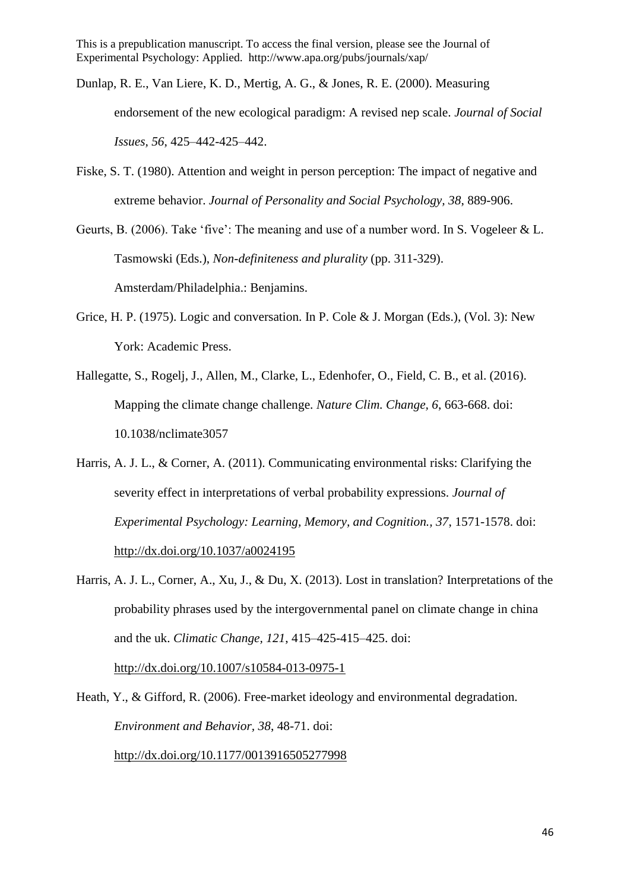- Dunlap, R. E., Van Liere, K. D., Mertig, A. G., & Jones, R. E. (2000). Measuring endorsement of the new ecological paradigm: A revised nep scale. *Journal of Social Issues, 56*, 425–442-425–442.
- Fiske, S. T. (1980). Attention and weight in person perception: The impact of negative and extreme behavior. *Journal of Personality and Social Psychology, 38*, 889-906.
- Geurts, B. (2006). Take 'five': The meaning and use of a number word. In S. Vogeleer & L. Tasmowski (Eds.), *Non-definiteness and plurality* (pp. 311-329). Amsterdam/Philadelphia.: Benjamins.
- Grice, H. P. (1975). Logic and conversation. In P. Cole & J. Morgan (Eds.), (Vol. 3): New York: Academic Press.
- Hallegatte, S., Rogelj, J., Allen, M., Clarke, L., Edenhofer, O., Field, C. B., et al. (2016). Mapping the climate change challenge. *Nature Clim. Change, 6*, 663-668. doi: 10.1038/nclimate3057
- Harris, A. J. L., & Corner, A. (2011). Communicating environmental risks: Clarifying the severity effect in interpretations of verbal probability expressions. *Journal of Experimental Psychology: Learning, Memory, and Cognition., 37*, 1571-1578. doi: <http://dx.doi.org/10.1037/a0024195>
- Harris, A. J. L., Corner, A., Xu, J., & Du, X. (2013). Lost in translation? Interpretations of the probability phrases used by the intergovernmental panel on climate change in china and the uk. *Climatic Change, 121*, 415–425-415–425. doi: <http://dx.doi.org/10.1007/s10584-013-0975-1>

Heath, Y., & Gifford, R. (2006). Free-market ideology and environmental degradation. *Environment and Behavior, 38*, 48-71. doi: <http://dx.doi.org/10.1177/0013916505277998>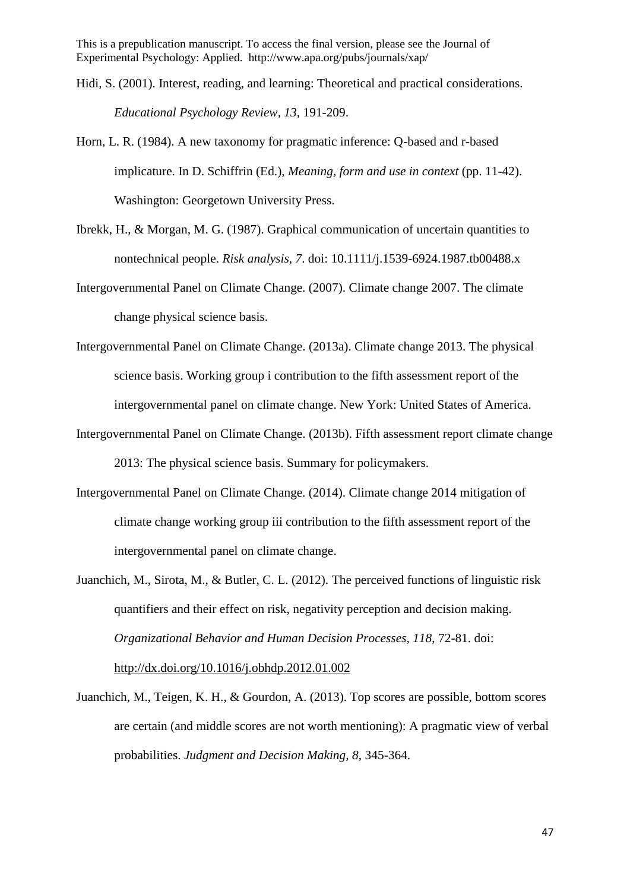- Hidi, S. (2001). Interest, reading, and learning: Theoretical and practical considerations. *Educational Psychology Review, 13*, 191-209.
- Horn, L. R. (1984). A new taxonomy for pragmatic inference: Q-based and r-based implicature. In D. Schiffrin (Ed.), *Meaning, form and use in context* (pp. 11-42). Washington: Georgetown University Press.
- Ibrekk, H., & Morgan, M. G. (1987). Graphical communication of uncertain quantities to nontechnical people. *Risk analysis, 7*. doi: 10.1111/j.1539-6924.1987.tb00488.x
- Intergovernmental Panel on Climate Change. (2007). Climate change 2007. The climate change physical science basis.
- Intergovernmental Panel on Climate Change. (2013a). Climate change 2013. The physical science basis. Working group i contribution to the fifth assessment report of the intergovernmental panel on climate change. New York: United States of America.
- Intergovernmental Panel on Climate Change. (2013b). Fifth assessment report climate change 2013: The physical science basis. Summary for policymakers.
- Intergovernmental Panel on Climate Change. (2014). Climate change 2014 mitigation of climate change working group iii contribution to the fifth assessment report of the intergovernmental panel on climate change.
- Juanchich, M., Sirota, M., & Butler, C. L. (2012). The perceived functions of linguistic risk quantifiers and their effect on risk, negativity perception and decision making. *Organizational Behavior and Human Decision Processes, 118*, 72-81. doi: <http://dx.doi.org/10.1016/j.obhdp.2012.01.002>
- Juanchich, M., Teigen, K. H., & Gourdon, A. (2013). Top scores are possible, bottom scores are certain (and middle scores are not worth mentioning): A pragmatic view of verbal probabilities. *Judgment and Decision Making, 8*, 345-364.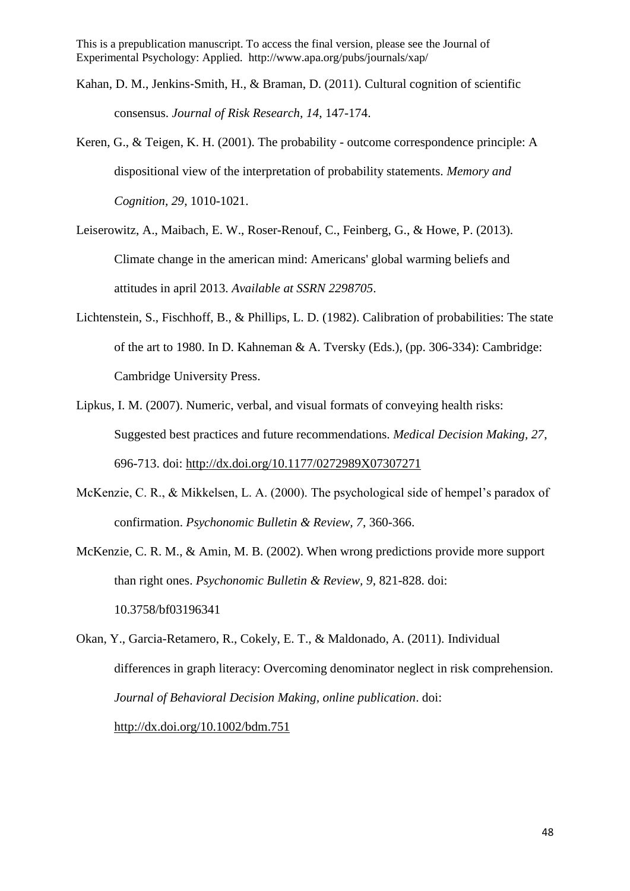- Kahan, D. M., Jenkins-Smith, H., & Braman, D. (2011). Cultural cognition of scientific consensus. *Journal of Risk Research, 14*, 147-174.
- Keren, G., & Teigen, K. H. (2001). The probability outcome correspondence principle: A dispositional view of the interpretation of probability statements. *Memory and Cognition, 29*, 1010-1021.
- Leiserowitz, A., Maibach, E. W., Roser-Renouf, C., Feinberg, G., & Howe, P. (2013). Climate change in the american mind: Americans' global warming beliefs and attitudes in april 2013. *Available at SSRN 2298705*.
- Lichtenstein, S., Fischhoff, B., & Phillips, L. D. (1982). Calibration of probabilities: The state of the art to 1980. In D. Kahneman & A. Tversky (Eds.), (pp. 306-334): Cambridge: Cambridge University Press.
- Lipkus, I. M. (2007). Numeric, verbal, and visual formats of conveying health risks: Suggested best practices and future recommendations. *Medical Decision Making, 27*, 696-713. doi:<http://dx.doi.org/10.1177/0272989X07307271>
- McKenzie, C. R., & Mikkelsen, L. A. (2000). The psychological side of hempel's paradox of confirmation. *Psychonomic Bulletin & Review, 7*, 360-366.
- McKenzie, C. R. M., & Amin, M. B. (2002). When wrong predictions provide more support than right ones. *Psychonomic Bulletin & Review, 9*, 821-828. doi: 10.3758/bf03196341
- Okan, Y., Garcia-Retamero, R., Cokely, E. T., & Maldonado, A. (2011). Individual differences in graph literacy: Overcoming denominator neglect in risk comprehension. *Journal of Behavioral Decision Making, online publication*. doi: <http://dx.doi.org/10.1002/bdm.751>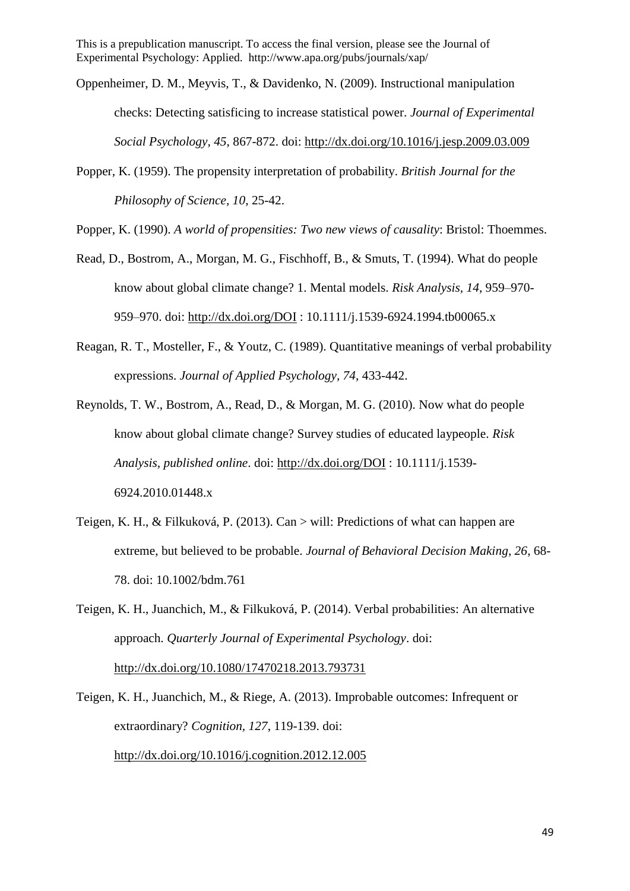- Oppenheimer, D. M., Meyvis, T., & Davidenko, N. (2009). Instructional manipulation checks: Detecting satisficing to increase statistical power. *Journal of Experimental Social Psychology, 45*, 867-872. doi:<http://dx.doi.org/10.1016/j.jesp.2009.03.009>
- Popper, K. (1959). The propensity interpretation of probability. *British Journal for the Philosophy of Science, 10*, 25-42.

Popper, K. (1990). *A world of propensities: Two new views of causality*: Bristol: Thoemmes.

- Read, D., Bostrom, A., Morgan, M. G., Fischhoff, B., & Smuts, T. (1994). What do people know about global climate change? 1. Mental models. *Risk Analysis, 14*, 959–970- 959–970. doi:<http://dx.doi.org/DOI> : 10.1111/j.1539-6924.1994.tb00065.x
- Reagan, R. T., Mosteller, F., & Youtz, C. (1989). Quantitative meanings of verbal probability expressions. *Journal of Applied Psychology, 74*, 433-442.
- Reynolds, T. W., Bostrom, A., Read, D., & Morgan, M. G. (2010). Now what do people know about global climate change? Survey studies of educated laypeople. *Risk Analysis, published online*. doi:<http://dx.doi.org/DOI> : 10.1111/j.1539- 6924.2010.01448.x
- Teigen, K. H., & Filkuková, P. (2013). Can > will: Predictions of what can happen are extreme, but believed to be probable. *Journal of Behavioral Decision Making, 26*, 68- 78. doi: 10.1002/bdm.761
- Teigen, K. H., Juanchich, M., & Filkuková, P. (2014). Verbal probabilities: An alternative approach. *Quarterly Journal of Experimental Psychology*. doi: <http://dx.doi.org/10.1080/17470218.2013.793731>
- Teigen, K. H., Juanchich, M., & Riege, A. (2013). Improbable outcomes: Infrequent or extraordinary? *Cognition, 127*, 119-139. doi: <http://dx.doi.org/10.1016/j.cognition.2012.12.005>